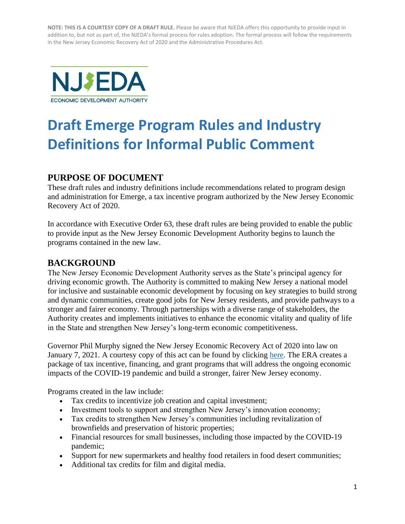

# **Draft Emerge Program Rules and Industry Definitions for Informal Public Comment**

# **PURPOSE OF DOCUMENT**

These draft rules and industry definitions include recommendations related to program design and administration for Emerge, a tax incentive program authorized by the New Jersey Economic Recovery Act of 2020.

In accordance with Executive Order 63, these draft rules are being provided to enable the public to provide input as the New Jersey Economic Development Authority begins to launch the programs contained in the new law.

## **BACKGROUND**

The New Jersey Economic Development Authority serves as the State's principal agency for driving economic growth. The Authority is committed to making New Jersey a national model for inclusive and sustainable economic development by focusing on key strategies to build strong and dynamic communities, create good jobs for New Jersey residents, and provide pathways to a stronger and fairer economy. Through partnerships with a diverse range of stakeholders, the Authority creates and implements initiatives to enhance the economic vitality and quality of life in the State and strengthen New Jersey's long-term economic competitiveness.

Governor Phil Murphy signed the New Jersey Economic Recovery Act of 2020 into law on January 7, 2021. A courtesy copy of this act can be found by clicking [here.](https://www.njeda.com/economicrecoveryact/a4_r1-njera-pl-2020-c156-5/) The ERA creates a package of tax incentive, financing, and grant programs that will address the ongoing economic impacts of the COVID-19 pandemic and build a stronger, fairer New Jersey economy.

Programs created in the law include:

- Tax credits to incentivize job creation and capital investment;
- Investment tools to support and strengthen New Jersey's innovation economy;
- Tax credits to strengthen New Jersey's communities including revitalization of brownfields and preservation of historic properties;
- Financial resources for small businesses, including those impacted by the COVID-19 pandemic;
- Support for new supermarkets and healthy food retailers in food desert communities;
- Additional tax credits for film and digital media.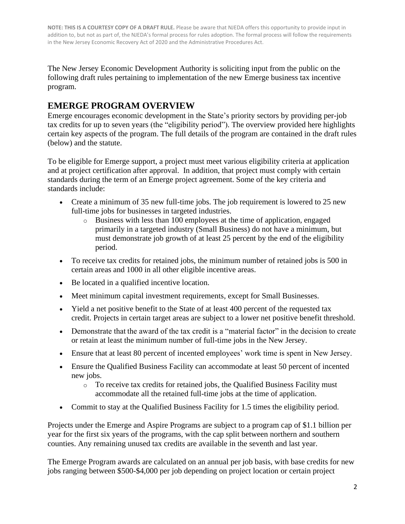The New Jersey Economic Development Authority is soliciting input from the public on the following draft rules pertaining to implementation of the new Emerge business tax incentive program.

# **EMERGE PROGRAM OVERVIEW**

Emerge encourages economic development in the State's priority sectors by providing per-job tax credits for up to seven years (the "eligibility period"). The overview provided here highlights certain key aspects of the program. The full details of the program are contained in the draft rules (below) and the statute.

To be eligible for Emerge support, a project must meet various eligibility criteria at application and at project certification after approval. In addition, that project must comply with certain standards during the term of an Emerge project agreement. Some of the key criteria and standards include:

- Create a minimum of 35 new full-time jobs. The job requirement is lowered to 25 new full-time jobs for businesses in targeted industries.
	- o Business with less than 100 employees at the time of application, engaged primarily in a targeted industry (Small Business) do not have a minimum, but must demonstrate job growth of at least 25 percent by the end of the eligibility period.
- To receive tax credits for retained jobs, the minimum number of retained jobs is 500 in certain areas and 1000 in all other eligible incentive areas.
- Be located in a qualified incentive location.
- Meet minimum capital investment requirements, except for Small Businesses.
- Yield a net positive benefit to the State of at least 400 percent of the requested tax credit. Projects in certain target areas are subject to a lower net positive benefit threshold.
- Demonstrate that the award of the tax credit is a "material factor" in the decision to create or retain at least the minimum number of full-time jobs in the New Jersey.
- Ensure that at least 80 percent of incented employees' work time is spent in New Jersey.
- Ensure the Qualified Business Facility can accommodate at least 50 percent of incented new jobs.
	- o To receive tax credits for retained jobs, the Qualified Business Facility must accommodate all the retained full-time jobs at the time of application.
- Commit to stay at the Qualified Business Facility for 1.5 times the eligibility period.

Projects under the Emerge and Aspire Programs are subject to a program cap of \$1.1 billion per year for the first six years of the programs, with the cap split between northern and southern counties. Any remaining unused tax credits are available in the seventh and last year.

The Emerge Program awards are calculated on an annual per job basis, with base credits for new jobs ranging between \$500-\$4,000 per job depending on project location or certain project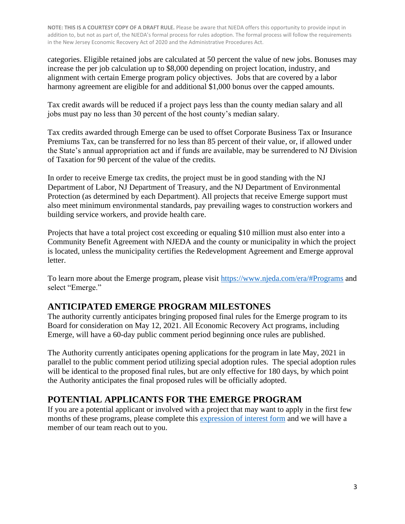categories. Eligible retained jobs are calculated at 50 percent the value of new jobs. Bonuses may increase the per job calculation up to \$8,000 depending on project location, industry, and alignment with certain Emerge program policy objectives. Jobs that are covered by a labor harmony agreement are eligible for and additional \$1,000 bonus over the capped amounts.

Tax credit awards will be reduced if a project pays less than the county median salary and all jobs must pay no less than 30 percent of the host county's median salary.

Tax credits awarded through Emerge can be used to offset Corporate Business Tax or Insurance Premiums Tax, can be transferred for no less than 85 percent of their value, or, if allowed under the State's annual appropriation act and if funds are available, may be surrendered to NJ Division of Taxation for 90 percent of the value of the credits.

In order to receive Emerge tax credits, the project must be in good standing with the NJ Department of Labor, NJ Department of Treasury, and the NJ Department of Environmental Protection (as determined by each Department). All projects that receive Emerge support must also meet minimum environmental standards, pay prevailing wages to construction workers and building service workers, and provide health care.

Projects that have a total project cost exceeding or equaling \$10 million must also enter into a Community Benefit Agreement with NJEDA and the county or municipality in which the project is located, unless the municipality certifies the Redevelopment Agreement and Emerge approval letter.

To learn more about the Emerge program, please visit<https://www.njeda.com/era/#Programs> and select "Emerge."

# **ANTICIPATED EMERGE PROGRAM MILESTONES**

The authority currently anticipates bringing proposed final rules for the Emerge program to its Board for consideration on May 12, 2021. All Economic Recovery Act programs, including Emerge, will have a 60-day public comment period beginning once rules are published.

The Authority currently anticipates opening applications for the program in late May, 2021 in parallel to the public comment period utilizing special adoption rules. The special adoption rules will be identical to the proposed final rules, but are only effective for 180 days, by which point the Authority anticipates the final proposed rules will be officially adopted.

# **POTENTIAL APPLICANTS FOR THE EMERGE PROGRAM**

If you are a potential applicant or involved with a project that may want to apply in the first few months of these programs, please complete this [expression of interest form](https://www.njeda.com/economicrecoveryact/#interest) and we will have a member of our team reach out to you.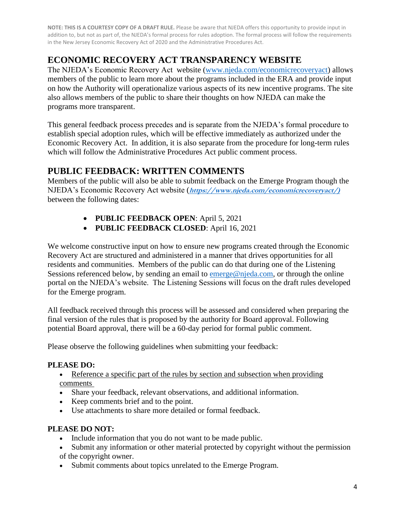# **ECONOMIC RECOVERY ACT TRANSPARENCY WEBSITE**

The NJEDA's Economic Recovery Act website [\(www.njeda.com/economicrecoveryact\)](http://www.njeda.com/economicrecoveryactx) allows members of the public to learn more about the programs included in the ERA and provide input on how the Authority will operationalize various aspects of its new incentive programs. The site also allows members of the public to share their thoughts on how NJEDA can make the programs more transparent.

This general feedback process precedes and is separate from the NJEDA's formal procedure to establish special adoption rules, which will be effective immediately as authorized under the Economic Recovery Act. In addition, it is also separate from the procedure for long-term rules which will follow the Administrative Procedures Act public comment process.

# **PUBLIC FEEDBACK: WRITTEN COMMENTS**

Members of the public will also be able to submit feedback on the Emerge Program though the NJEDA's Economic Recovery Act website (**[https://www.njeda.com/economicrecoveryact/\)](https://www.njeda.com/economicrecoveryact/)**  between the following dates:

- **PUBLIC FEEDBACK OPEN**: April 5, 2021
- **PUBLIC FEEDBACK CLOSED**: April 16, 2021

We welcome constructive input on how to ensure new programs created through the Economic Recovery Act are structured and administered in a manner that drives opportunities for all residents and communities. Members of the public can do that during one of the Listening Sessions referenced below, by sending an email to [emerge@njeda.com,](mailto:emerge@njeda.com) or through the online portal on the NJEDA's website. The Listening Sessions will focus on the draft rules developed for the Emerge program.

All feedback received through this process will be assessed and considered when preparing the final version of the rules that is proposed by the authority for Board approval. Following potential Board approval, there will be a 60-day period for formal public comment.

Please observe the following guidelines when submitting your feedback:

## **PLEASE DO:**

• Reference a specific part of the rules by section and subsection when providing comments

- Share your feedback, relevant observations, and additional information.
- Keep comments brief and to the point.
- Use attachments to share more detailed or formal feedback.

## **PLEASE DO NOT:**

- Include information that you do not want to be made public.
- Submit any information or other material protected by copyright without the permission of the copyright owner.
- Submit comments about topics unrelated to the Emerge Program.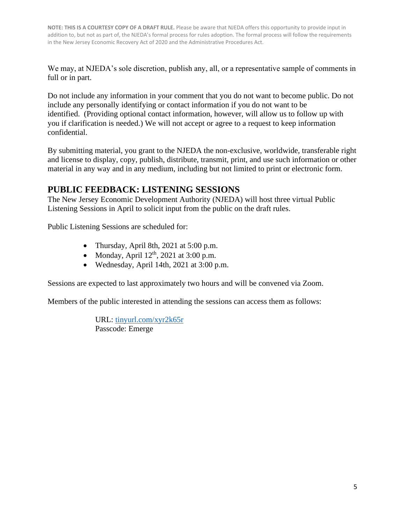We may, at NJEDA's sole discretion, publish any, all, or a representative sample of comments in full or in part.

Do not include any information in your comment that you do not want to become public. Do not include any personally identifying or contact information if you do not want to be identified. (Providing optional contact information, however, will allow us to follow up with you if clarification is needed.) We will not accept or agree to a request to keep information confidential.

By submitting material, you grant to the NJEDA the non-exclusive, worldwide, transferable right and license to display, copy, publish, distribute, transmit, print, and use such information or other material in any way and in any medium, including but not limited to print or electronic form.

## **PUBLIC FEEDBACK: LISTENING SESSIONS**

The New Jersey Economic Development Authority (NJEDA) will host three virtual Public Listening Sessions in April to solicit input from the public on the draft rules.

Public Listening Sessions are scheduled for:

- Thursday, April 8th, 2021 at 5:00 p.m.
- Monday, April  $12<sup>th</sup>$ , 2021 at 3:00 p.m.
- Wednesday, April 14th, 2021 at 3:00 p.m.

Sessions are expected to last approximately two hours and will be convened via Zoom.

Members of the public interested in attending the sessions can access them as follows:

URL: [tinyurl.com/xyr2k65r](file:///C:/Users/jbalik/Documents/tinyurl.com/xyr2k65r)  Passcode: Emerge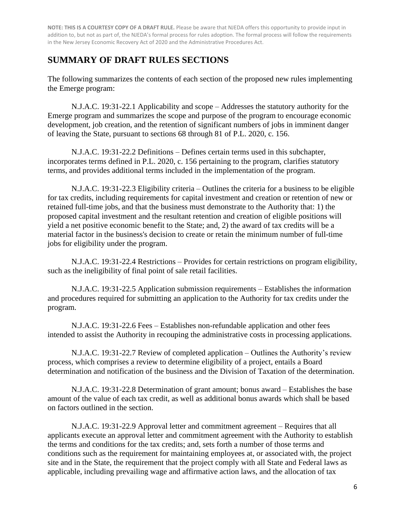## **SUMMARY OF DRAFT RULES SECTIONS**

The following summarizes the contents of each section of the proposed new rules implementing the Emerge program:

N.J.A.C. 19:31-22.1 Applicability and scope – Addresses the statutory authority for the Emerge program and summarizes the scope and purpose of the program to encourage economic development, job creation, and the retention of significant numbers of jobs in imminent danger of leaving the State, pursuant to sections 68 through 81 of P.L. 2020, c. 156.

N.J.A.C. 19:31-22.2 Definitions – Defines certain terms used in this subchapter, incorporates terms defined in P.L. 2020, c. 156 pertaining to the program, clarifies statutory terms, and provides additional terms included in the implementation of the program.

N.J.A.C. 19:31-22.3 Eligibility criteria – Outlines the criteria for a business to be eligible for tax credits, including requirements for capital investment and creation or retention of new or retained full-time jobs, and that the business must demonstrate to the Authority that: 1) the proposed capital investment and the resultant retention and creation of eligible positions will yield a net positive economic benefit to the State; and, 2) the award of tax credits will be a material factor in the business's decision to create or retain the minimum number of full-time jobs for eligibility under the program.

N.J.A.C. 19:31-22.4 Restrictions – Provides for certain restrictions on program eligibility, such as the ineligibility of final point of sale retail facilities.

N.J.A.C. 19:31-22.5 Application submission requirements – Establishes the information and procedures required for submitting an application to the Authority for tax credits under the program.

N.J.A.C. 19:31-22.6 Fees – Establishes non-refundable application and other fees intended to assist the Authority in recouping the administrative costs in processing applications.

N.J.A.C. 19:31-22.7 Review of completed application – Outlines the Authority's review process, which comprises a review to determine eligibility of a project, entails a Board determination and notification of the business and the Division of Taxation of the determination.

N.J.A.C. 19:31-22.8 Determination of grant amount; bonus award – Establishes the base amount of the value of each tax credit, as well as additional bonus awards which shall be based on factors outlined in the section.

N.J.A.C. 19:31-22.9 Approval letter and commitment agreement – Requires that all applicants execute an approval letter and commitment agreement with the Authority to establish the terms and conditions for the tax credits; and, sets forth a number of those terms and conditions such as the requirement for maintaining employees at, or associated with, the project site and in the State, the requirement that the project comply with all State and Federal laws as applicable, including prevailing wage and affirmative action laws, and the allocation of tax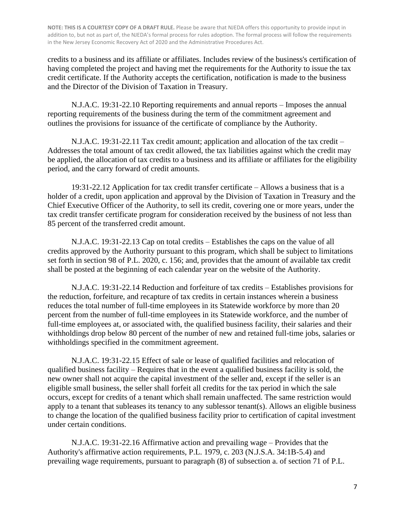credits to a business and its affiliate or affiliates. Includes review of the business's certification of having completed the project and having met the requirements for the Authority to issue the tax credit certificate. If the Authority accepts the certification, notification is made to the business and the Director of the Division of Taxation in Treasury.

N.J.A.C. 19:31-22.10 Reporting requirements and annual reports – Imposes the annual reporting requirements of the business during the term of the commitment agreement and outlines the provisions for issuance of the certificate of compliance by the Authority.

N.J.A.C. 19:31-22.11 Tax credit amount; application and allocation of the tax credit – Addresses the total amount of tax credit allowed, the tax liabilities against which the credit may be applied, the allocation of tax credits to a business and its affiliate or affiliates for the eligibility period, and the carry forward of credit amounts.

19:31-22.12 Application for tax credit transfer certificate – Allows a business that is a holder of a credit, upon application and approval by the Division of Taxation in Treasury and the Chief Executive Officer of the Authority, to sell its credit, covering one or more years, under the tax credit transfer certificate program for consideration received by the business of not less than 85 percent of the transferred credit amount.

N.J.A.C. 19:31-22.13 Cap on total credits – Establishes the caps on the value of all credits approved by the Authority pursuant to this program, which shall be subject to limitations set forth in section 98 of P.L. 2020, c. 156; and, provides that the amount of available tax credit shall be posted at the beginning of each calendar year on the website of the Authority.

N.J.A.C. 19:31-22.14 Reduction and forfeiture of tax credits – Establishes provisions for the reduction, forfeiture, and recapture of tax credits in certain instances wherein a business reduces the total number of full-time employees in its Statewide workforce by more than 20 percent from the number of full-time employees in its Statewide workforce, and the number of full-time employees at, or associated with, the qualified business facility, their salaries and their withholdings drop below 80 percent of the number of new and retained full-time jobs, salaries or withholdings specified in the commitment agreement.

N.J.A.C. 19:31-22.15 Effect of sale or lease of qualified facilities and relocation of qualified business facility – Requires that in the event a qualified business facility is sold, the new owner shall not acquire the capital investment of the seller and, except if the seller is an eligible small business, the seller shall forfeit all credits for the tax period in which the sale occurs, except for credits of a tenant which shall remain unaffected. The same restriction would apply to a tenant that subleases its tenancy to any sublessor tenant(s). Allows an eligible business to change the location of the qualified business facility prior to certification of capital investment under certain conditions.

N.J.A.C. 19:31-22.16 Affirmative action and prevailing wage – Provides that the Authority's affirmative action requirements, P.L. 1979, c. 203 (N.J.S.A. 34:1B-5.4) and prevailing wage requirements, pursuant to paragraph (8) of subsection a. of section 71 of P.L.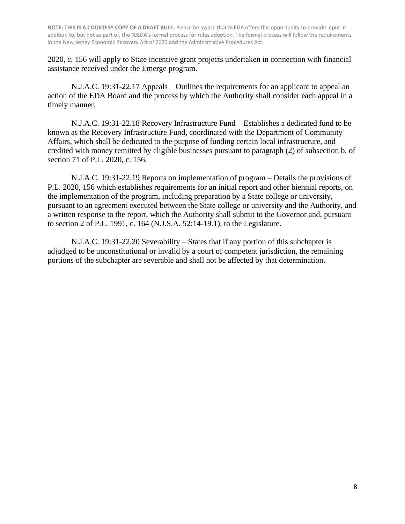2020, c. 156 will apply to State incentive grant projects undertaken in connection with financial assistance received under the Emerge program.

N.J.A.C. 19:31-22.17 Appeals – Outlines the requirements for an applicant to appeal an action of the EDA Board and the process by which the Authority shall consider each appeal in a timely manner.

N.J.A.C. 19:31-22.18 Recovery Infrastructure Fund – Establishes a dedicated fund to be known as the Recovery Infrastructure Fund, coordinated with the Department of Community Affairs, which shall be dedicated to the purpose of funding certain local infrastructure, and credited with money remitted by eligible businesses pursuant to paragraph (2) of subsection b. of section 71 of P.L. 2020, c. 156.

N.J.A.C. 19:31-22.19 Reports on implementation of program – Details the provisions of P.L. 2020, 156 which establishes requirements for an initial report and other biennial reports, on the implementation of the program, including preparation by a State college or university, pursuant to an agreement executed between the State college or university and the Authority, and a written response to the report, which the Authority shall submit to the Governor and, pursuant to section 2 of P.L. 1991, c. 164 (N.J.S.A. 52:14-19.1), to the Legislature.

N.J.A.C. 19:31-22.20 Severability – States that if any portion of this subchapter is adjudged to be unconstitutional or invalid by a court of competent jurisdiction, the remaining portions of the subchapter are severable and shall not be affected by that determination.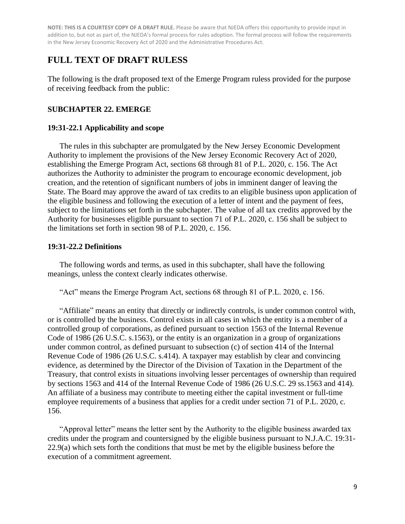## **FULL TEXT OF DRAFT RULESS**

The following is the draft proposed text of the Emerge Program ruless provided for the purpose of receiving feedback from the public:

#### **SUBCHAPTER 22. EMERGE**

#### **19:31-22.1 Applicability and scope**

The rules in this subchapter are promulgated by the New Jersey Economic Development Authority to implement the provisions of the New Jersey Economic Recovery Act of 2020, establishing the Emerge Program Act, sections 68 through 81 of P.L. 2020, c. 156. The Act authorizes the Authority to administer the program to encourage economic development, job creation, and the retention of significant numbers of jobs in imminent danger of leaving the State. The Board may approve the award of tax credits to an eligible business upon application of the eligible business and following the execution of a letter of intent and the payment of fees, subject to the limitations set forth in the subchapter. The value of all tax credits approved by the Authority for businesses eligible pursuant to section 71 of P.L. 2020, c. 156 shall be subject to the limitations set forth in section 98 of P.L. 2020, c. 156.

#### **19:31-22.2 Definitions**

The following words and terms, as used in this subchapter, shall have the following meanings, unless the context clearly indicates otherwise.

"Act" means the Emerge Program Act, sections 68 through 81 of P.L. 2020, c. 156.

"Affiliate" means an entity that directly or indirectly controls, is under common control with, or is controlled by the business. Control exists in all cases in which the entity is a member of a controlled group of corporations, as defined pursuant to section 1563 of the Internal Revenue Code of 1986 (26 U.S.C. s.1563), or the entity is an organization in a group of organizations under common control, as defined pursuant to subsection (c) of section 414 of the Internal Revenue Code of 1986 (26 U.S.C. s.414). A taxpayer may establish by clear and convincing evidence, as determined by the Director of the Division of Taxation in the Department of the Treasury, that control exists in situations involving lesser percentages of ownership than required by sections 1563 and 414 of the Internal Revenue Code of 1986 (26 U.S.C. 29 ss.1563 and 414). An affiliate of a business may contribute to meeting either the capital investment or full-time employee requirements of a business that applies for a credit under section 71 of P.L. 2020, c. 156.

"Approval letter" means the letter sent by the Authority to the eligible business awarded tax credits under the program and countersigned by the eligible business pursuant to N.J.A.C. 19:31- 22.9(a) which sets forth the conditions that must be met by the eligible business before the execution of a commitment agreement.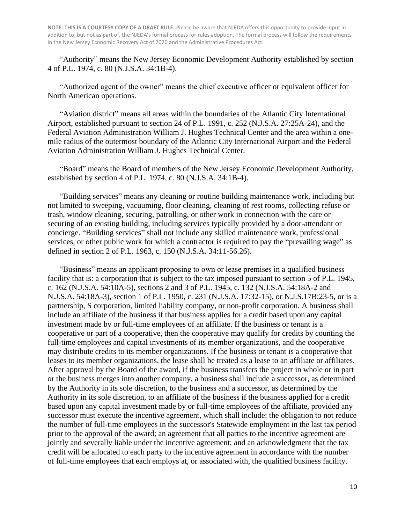"Authority" means the New Jersey Economic Development Authority established by section 4 of P.L. 1974, c. 80 (N.J.S.A. 34:1B-4).

"Authorized agent of the owner" means the chief executive officer or equivalent officer for North American operations.

"Aviation district" means all areas within the boundaries of the Atlantic City International Airport, established pursuant to section 24 of P.L. 1991, c. 252 (N.J.S.A. 27:25A-24), and the Federal Aviation Administration William J. Hughes Technical Center and the area within a onemile radius of the outermost boundary of the Atlantic City International Airport and the Federal Aviation Administration William J. Hughes Technical Center.

"Board" means the Board of members of the New Jersey Economic Development Authority, established by section 4 of P.L. 1974, c. 80 (N.J.S.A. 34:1B-4).

"Building services" means any cleaning or routine building maintenance work, including but not limited to sweeping, vacuuming, floor cleaning, cleaning of rest rooms, collecting refuse or trash, window cleaning, securing, patrolling, or other work in connection with the care or securing of an existing building, including services typically provided by a door-attendant or concierge. "Building services" shall not include any skilled maintenance work, professional services, or other public work for which a contractor is required to pay the "prevailing wage" as defined in section 2 of P.L. 1963, c. 150 (N.J.S.A. 34:11-56.26).

"Business" means an applicant proposing to own or lease premises in a qualified business facility that is: a corporation that is subject to the tax imposed pursuant to section 5 of P.L. 1945, c. 162 (N.J.S.A. 54:10A-5), sections 2 and 3 of P.L. 1945, c. 132 (N.J.S.A. 54:18A-2 and N.J.S.A. 54:18A-3), section 1 of P.L. 1950, c. 231 (N.J.S.A. 17:32-15), or N.J.S.17B:23-5, or is a partnership, S corporation, limited liability company, or non-profit corporation. A business shall include an affiliate of the business if that business applies for a credit based upon any capital investment made by or full-time employees of an affiliate. If the business or tenant is a cooperative or part of a cooperative, then the cooperative may qualify for credits by counting the full-time employees and capital investments of its member organizations, and the cooperative may distribute credits to its member organizations. If the business or tenant is a cooperative that leases to its member organizations, the lease shall be treated as a lease to an affiliate or affiliates. After approval by the Board of the award, if the business transfers the project in whole or in part or the business merges into another company, a business shall include a successor, as determined by the Authority in its sole discretion, to the business and a successor, as determined by the Authority in its sole discretion, to an affiliate of the business if the business applied for a credit based upon any capital investment made by or full-time employees of the affiliate, provided any successor must execute the incentive agreement, which shall include: the obligation to not reduce the number of full-time employees in the successor's Statewide employment in the last tax period prior to the approval of the award; an agreement that all parties to the incentive agreement are jointly and severally liable under the incentive agreement; and an acknowledgment that the tax credit will be allocated to each party to the incentive agreement in accordance with the number of full-time employees that each employs at, or associated with, the qualified business facility.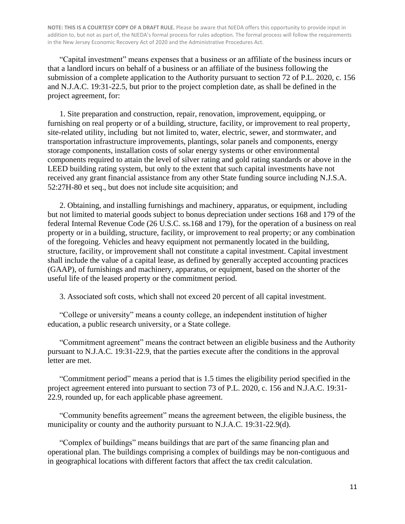"Capital investment" means expenses that a business or an affiliate of the business incurs or that a landlord incurs on behalf of a business or an affiliate of the business following the submission of a complete application to the Authority pursuant to section 72 of P.L. 2020, c. 156 and N.J.A.C. 19:31-22.5, but prior to the project completion date, as shall be defined in the project agreement, for:

1. Site preparation and construction, repair, renovation, improvement, equipping, or furnishing on real property or of a building, structure, facility, or improvement to real property, site-related utility, including but not limited to, water, electric, sewer, and stormwater, and transportation infrastructure improvements, plantings, solar panels and components, energy storage components, installation costs of solar energy systems or other environmental components required to attain the level of silver rating and gold rating standards or above in the LEED building rating system, but only to the extent that such capital investments have not received any grant financial assistance from any other State funding source including N.J.S.A. 52:27H-80 et seq., but does not include site acquisition; and

2. Obtaining, and installing furnishings and machinery, apparatus, or equipment, including but not limited to material goods subject to bonus depreciation under sections 168 and 179 of the federal Internal Revenue Code (26 U.S.C. ss.168 and 179), for the operation of a business on real property or in a building, structure, facility, or improvement to real property; or any combination of the foregoing. Vehicles and heavy equipment not permanently located in the building, structure, facility, or improvement shall not constitute a capital investment. Capital investment shall include the value of a capital lease, as defined by generally accepted accounting practices (GAAP), of furnishings and machinery, apparatus, or equipment, based on the shorter of the useful life of the leased property or the commitment period.

3. Associated soft costs, which shall not exceed 20 percent of all capital investment.

"College or university" means a county college, an independent institution of higher education, a public research university, or a State college.

"Commitment agreement" means the contract between an eligible business and the Authority pursuant to N.J.A.C. 19:31-22.9, that the parties execute after the conditions in the approval letter are met.

"Commitment period" means a period that is 1.5 times the eligibility period specified in the project agreement entered into pursuant to section 73 of P.L. 2020, c. 156 and N.J.A.C. 19:31- 22.9, rounded up, for each applicable phase agreement.

"Community benefits agreement" means the agreement between, the eligible business, the municipality or county and the authority pursuant to N.J.A.C. 19:31-22.9(d).

"Complex of buildings" means buildings that are part of the same financing plan and operational plan. The buildings comprising a complex of buildings may be non-contiguous and in geographical locations with different factors that affect the tax credit calculation.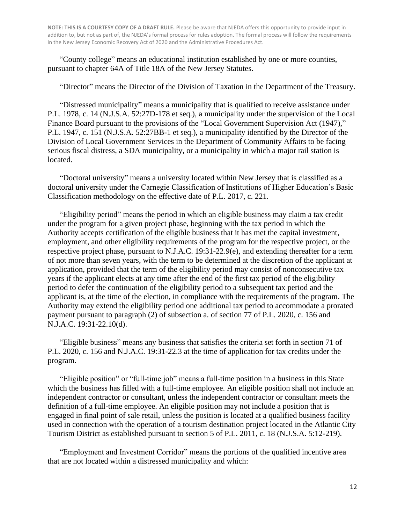"County college" means an educational institution established by one or more counties, pursuant to chapter 64A of Title 18A of the New Jersey Statutes.

"Director" means the Director of the Division of Taxation in the Department of the Treasury.

"Distressed municipality" means a municipality that is qualified to receive assistance under P.L. 1978, c. 14 (N.J.S.A. 52:27D-178 et seq.), a municipality under the supervision of the Local Finance Board pursuant to the provisions of the "Local Government Supervision Act (1947)," P.L. 1947, c. 151 (N.J.S.A. 52:27BB-1 et seq.), a municipality identified by the Director of the Division of Local Government Services in the Department of Community Affairs to be facing serious fiscal distress, a SDA municipality, or a municipality in which a major rail station is located.

"Doctoral university" means a university located within New Jersey that is classified as a doctoral university under the Carnegie Classification of Institutions of Higher Education's Basic Classification methodology on the effective date of P.L. 2017, c. 221.

"Eligibility period" means the period in which an eligible business may claim a tax credit under the program for a given project phase, beginning with the tax period in which the Authority accepts certification of the eligible business that it has met the capital investment, employment, and other eligibility requirements of the program for the respective project, or the respective project phase, pursuant to N.J.A.C. 19:31-22.9(e), and extending thereafter for a term of not more than seven years, with the term to be determined at the discretion of the applicant at application, provided that the term of the eligibility period may consist of nonconsecutive tax years if the applicant elects at any time after the end of the first tax period of the eligibility period to defer the continuation of the eligibility period to a subsequent tax period and the applicant is, at the time of the election, in compliance with the requirements of the program. The Authority may extend the eligibility period one additional tax period to accommodate a prorated payment pursuant to paragraph (2) of subsection a. of section 77 of P.L. 2020, c. 156 and N.J.A.C. 19:31-22.10(d).

"Eligible business" means any business that satisfies the criteria set forth in section 71 of P.L. 2020, c. 156 and N.J.A.C. 19:31-22.3 at the time of application for tax credits under the program.

"Eligible position" or "full-time job" means a full-time position in a business in this State which the business has filled with a full-time employee. An eligible position shall not include an independent contractor or consultant, unless the independent contractor or consultant meets the definition of a full-time employee. An eligible position may not include a position that is engaged in final point of sale retail, unless the position is located at a qualified business facility used in connection with the operation of a tourism destination project located in the Atlantic City Tourism District as established pursuant to section 5 of P.L. 2011, c. 18 (N.J.S.A. 5:12-219).

"Employment and Investment Corridor" means the portions of the qualified incentive area that are not located within a distressed municipality and which: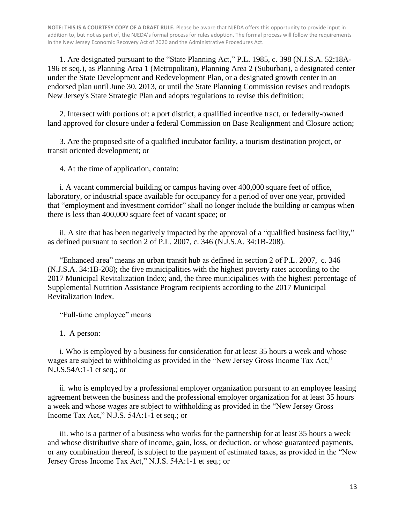1. Are designated pursuant to the "State Planning Act," P.L. 1985, c. 398 (N.J.S.A. 52:18A-196 et seq.), as Planning Area 1 (Metropolitan), Planning Area 2 (Suburban), a designated center under the State Development and Redevelopment Plan, or a designated growth center in an endorsed plan until June 30, 2013, or until the State Planning Commission revises and readopts New Jersey's State Strategic Plan and adopts regulations to revise this definition;

2. Intersect with portions of: a port district, a qualified incentive tract, or federally-owned land approved for closure under a federal Commission on Base Realignment and Closure action;

3. Are the proposed site of a qualified incubator facility, a tourism destination project, or transit oriented development; or

4. At the time of application, contain:

i. A vacant commercial building or campus having over 400,000 square feet of office, laboratory, or industrial space available for occupancy for a period of over one year, provided that "employment and investment corridor" shall no longer include the building or campus when there is less than 400,000 square feet of vacant space; or

ii. A site that has been negatively impacted by the approval of a "qualified business facility," as defined pursuant to section 2 of P.L. 2007, c. 346 (N.J.S.A. 34:1B-208).

"Enhanced area" means an urban transit hub as defined in section 2 of P.L. 2007, c. 346 (N.J.S.A. 34:1B-208); the five municipalities with the highest poverty rates according to the 2017 Municipal Revitalization Index; and, the three municipalities with the highest percentage of Supplemental Nutrition Assistance Program recipients according to the 2017 Municipal Revitalization Index.

"Full-time employee" means

1. A person:

i. Who is employed by a business for consideration for at least 35 hours a week and whose wages are subject to withholding as provided in the "New Jersey Gross Income Tax Act," N.J.S.54A:1-1 et seq.; or

ii. who is employed by a professional employer organization pursuant to an employee leasing agreement between the business and the professional employer organization for at least 35 hours a week and whose wages are subject to withholding as provided in the "New Jersey Gross Income Tax Act," N.J.S. 54A:1-1 et seq.; or

iii. who is a partner of a business who works for the partnership for at least 35 hours a week and whose distributive share of income, gain, loss, or deduction, or whose guaranteed payments, or any combination thereof, is subject to the payment of estimated taxes, as provided in the "New Jersey Gross Income Tax Act," N.J.S. 54A:1-1 et seq.; or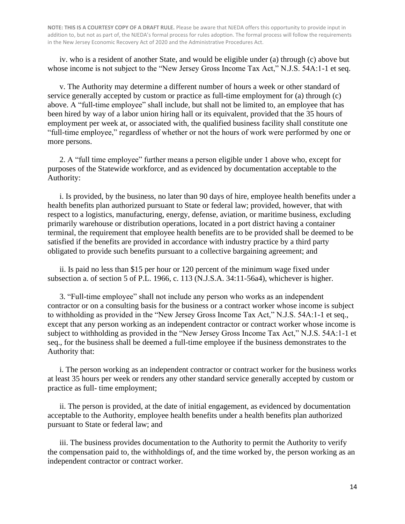iv. who is a resident of another State, and would be eligible under (a) through (c) above but whose income is not subject to the "New Jersey Gross Income Tax Act," N.J.S. 54A:1-1 et seq.

v. The Authority may determine a different number of hours a week or other standard of service generally accepted by custom or practice as full-time employment for (a) through (c) above. A "full-time employee" shall include, but shall not be limited to, an employee that has been hired by way of a labor union hiring hall or its equivalent, provided that the 35 hours of employment per week at, or associated with, the qualified business facility shall constitute one "full-time employee," regardless of whether or not the hours of work were performed by one or more persons.

2. A "full time employee" further means a person eligible under 1 above who, except for purposes of the Statewide workforce, and as evidenced by documentation acceptable to the Authority:

i. Is provided, by the business, no later than 90 days of hire, employee health benefits under a health benefits plan authorized pursuant to State or federal law; provided, however, that with respect to a logistics, manufacturing, energy, defense, aviation, or maritime business, excluding primarily warehouse or distribution operations, located in a port district having a container terminal, the requirement that employee health benefits are to be provided shall be deemed to be satisfied if the benefits are provided in accordance with industry practice by a third party obligated to provide such benefits pursuant to a collective bargaining agreement; and

ii. Is paid no less than \$15 per hour or 120 percent of the minimum wage fixed under subsection a. of section 5 of P.L. 1966, c. 113 (N.J.S.A. 34:11-56a4), whichever is higher.

3. "Full-time employee" shall not include any person who works as an independent contractor or on a consulting basis for the business or a contract worker whose income is subject to withholding as provided in the "New Jersey Gross Income Tax Act," N.J.S. 54A:1-1 et seq., except that any person working as an independent contractor or contract worker whose income is subject to withholding as provided in the "New Jersey Gross Income Tax Act," N.J.S. 54A:1-1 et seq., for the business shall be deemed a full-time employee if the business demonstrates to the Authority that:

i. The person working as an independent contractor or contract worker for the business works at least 35 hours per week or renders any other standard service generally accepted by custom or practice as full- time employment;

ii. The person is provided, at the date of initial engagement, as evidenced by documentation acceptable to the Authority, employee health benefits under a health benefits plan authorized pursuant to State or federal law; and

iii. The business provides documentation to the Authority to permit the Authority to verify the compensation paid to, the withholdings of, and the time worked by, the person working as an independent contractor or contract worker.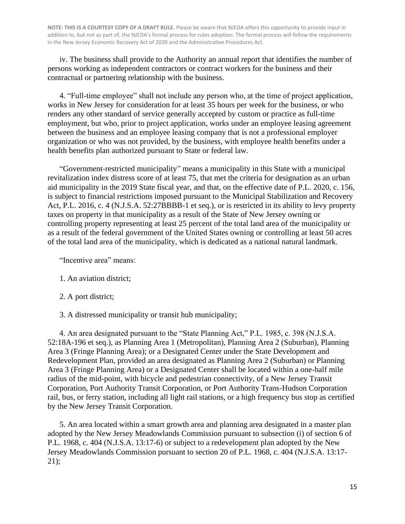iv. The business shall provide to the Authority an annual report that identifies the number of persons working as independent contractors or contract workers for the business and their contractual or partnering relationship with the business.

4. "Full-time employee" shall not include any person who, at the time of project application, works in New Jersey for consideration for at least 35 hours per week for the business, or who renders any other standard of service generally accepted by custom or practice as full-time employment, but who, prior to project application, works under an employee leasing agreement between the business and an employee leasing company that is not a professional employer organization or who was not provided, by the business, with employee health benefits under a health benefits plan authorized pursuant to State or federal law.

"Government-restricted municipality" means a municipality in this State with a municipal revitalization index distress score of at least 75, that met the criteria for designation as an urban aid municipality in the 2019 State fiscal year, and that, on the effective date of P.L. 2020, c. 156, is subject to financial restrictions imposed pursuant to the Municipal Stabilization and Recovery Act, P.L. 2016, c. 4 (N.J.S.A. 52:27BBBB-1 et seq.), or is restricted in its ability to levy property taxes on property in that municipality as a result of the State of New Jersey owning or controlling property representing at least 25 percent of the total land area of the municipality or as a result of the federal government of the United States owning or controlling at least 50 acres of the total land area of the municipality, which is dedicated as a national natural landmark.

"Incentive area" means:

- 1. An aviation district;
- 2. A port district;
- 3. A distressed municipality or transit hub municipality;

4. An area designated pursuant to the "State Planning Act," P.L. 1985, c. 398 (N.J.S.A. 52:18A-196 et seq.), as Planning Area 1 (Metropolitan), Planning Area 2 (Suburban), Planning Area 3 (Fringe Planning Area); or a Designated Center under the State Development and Redevelopment Plan, provided an area designated as Planning Area 2 (Suburban) or Planning Area 3 (Fringe Planning Area) or a Designated Center shall be located within a one-half mile radius of the mid-point, with bicycle and pedestrian connectivity, of a New Jersey Transit Corporation, Port Authority Transit Corporation, or Port Authority Trans-Hudson Corporation rail, bus, or ferry station, including all light rail stations, or a high frequency bus stop as certified by the New Jersey Transit Corporation.

5. An area located within a smart growth area and planning area designated in a master plan adopted by the New Jersey Meadowlands Commission pursuant to subsection (i) of section 6 of P.L. 1968, c. 404 (N.J.S.A. 13:17-6) or subject to a redevelopment plan adopted by the New Jersey Meadowlands Commission pursuant to section 20 of P.L. 1968, c. 404 (N.J.S.A. 13:17- 21);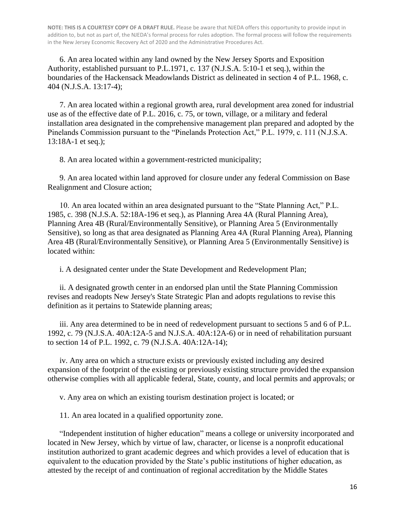6. An area located within any land owned by the New Jersey Sports and Exposition Authority, established pursuant to P.L.1971, c. 137 (N.J.S.A. 5:10-1 et seq.), within the boundaries of the Hackensack Meadowlands District as delineated in section 4 of P.L. 1968, c. 404 (N.J.S.A. 13:17-4);

7. An area located within a regional growth area, rural development area zoned for industrial use as of the effective date of P.L. 2016, c. 75, or town, village, or a military and federal installation area designated in the comprehensive management plan prepared and adopted by the Pinelands Commission pursuant to the "Pinelands Protection Act," P.L. 1979, c. 111 (N.J.S.A. 13:18A-1 et seq.);

8. An area located within a government-restricted municipality;

9. An area located within land approved for closure under any federal Commission on Base Realignment and Closure action;

10. An area located within an area designated pursuant to the "State Planning Act," P.L. 1985, c. 398 (N.J.S.A. 52:18A-196 et seq.), as Planning Area 4A (Rural Planning Area), Planning Area 4B (Rural/Environmentally Sensitive), or Planning Area 5 (Environmentally Sensitive), so long as that area designated as Planning Area 4A (Rural Planning Area), Planning Area 4B (Rural/Environmentally Sensitive), or Planning Area 5 (Environmentally Sensitive) is located within:

i. A designated center under the State Development and Redevelopment Plan;

ii. A designated growth center in an endorsed plan until the State Planning Commission revises and readopts New Jersey's State Strategic Plan and adopts regulations to revise this definition as it pertains to Statewide planning areas;

iii. Any area determined to be in need of redevelopment pursuant to sections 5 and 6 of P.L. 1992, c. 79 (N.J.S.A. 40A:12A-5 and N.J.S.A. 40A:12A-6) or in need of rehabilitation pursuant to section 14 of P.L. 1992, c. 79 (N.J.S.A. 40A:12A-14);

iv. Any area on which a structure exists or previously existed including any desired expansion of the footprint of the existing or previously existing structure provided the expansion otherwise complies with all applicable federal, State, county, and local permits and approvals; or

v. Any area on which an existing tourism destination project is located; or

11. An area located in a qualified opportunity zone.

"Independent institution of higher education" means a college or university incorporated and located in New Jersey, which by virtue of law, character, or license is a nonprofit educational institution authorized to grant academic degrees and which provides a level of education that is equivalent to the education provided by the State's public institutions of higher education, as attested by the receipt of and continuation of regional accreditation by the Middle States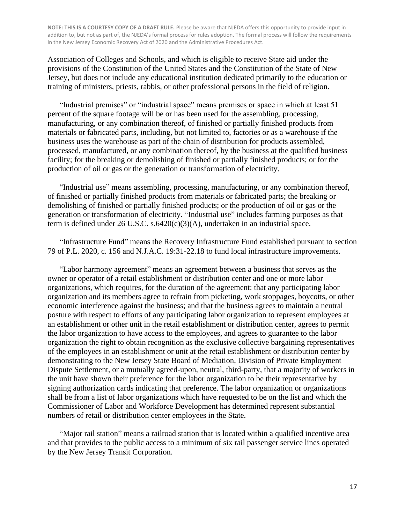Association of Colleges and Schools, and which is eligible to receive State aid under the provisions of the Constitution of the United States and the Constitution of the State of New Jersey, but does not include any educational institution dedicated primarily to the education or training of ministers, priests, rabbis, or other professional persons in the field of religion.

"Industrial premises" or "industrial space" means premises or space in which at least 51 percent of the square footage will be or has been used for the assembling, processing, manufacturing, or any combination thereof, of finished or partially finished products from materials or fabricated parts, including, but not limited to, factories or as a warehouse if the business uses the warehouse as part of the chain of distribution for products assembled, processed, manufactured, or any combination thereof, by the business at the qualified business facility; for the breaking or demolishing of finished or partially finished products; or for the production of oil or gas or the generation or transformation of electricity.

"Industrial use" means assembling, processing, manufacturing, or any combination thereof, of finished or partially finished products from materials or fabricated parts; the breaking or demolishing of finished or partially finished products; or the production of oil or gas or the generation or transformation of electricity. "Industrial use" includes farming purposes as that term is defined under 26 U.S.C. s.6420(c)(3)(A), undertaken in an industrial space.

"Infrastructure Fund" means the Recovery Infrastructure Fund established pursuant to section 79 of P.L. 2020, c. 156 and N.J.A.C. 19:31-22.18 to fund local infrastructure improvements.

"Labor harmony agreement" means an agreement between a business that serves as the owner or operator of a retail establishment or distribution center and one or more labor organizations, which requires, for the duration of the agreement: that any participating labor organization and its members agree to refrain from picketing, work stoppages, boycotts, or other economic interference against the business; and that the business agrees to maintain a neutral posture with respect to efforts of any participating labor organization to represent employees at an establishment or other unit in the retail establishment or distribution center, agrees to permit the labor organization to have access to the employees, and agrees to guarantee to the labor organization the right to obtain recognition as the exclusive collective bargaining representatives of the employees in an establishment or unit at the retail establishment or distribution center by demonstrating to the New Jersey State Board of Mediation, Division of Private Employment Dispute Settlement, or a mutually agreed-upon, neutral, third-party, that a majority of workers in the unit have shown their preference for the labor organization to be their representative by signing authorization cards indicating that preference. The labor organization or organizations shall be from a list of labor organizations which have requested to be on the list and which the Commissioner of Labor and Workforce Development has determined represent substantial numbers of retail or distribution center employees in the State.

"Major rail station" means a railroad station that is located within a qualified incentive area and that provides to the public access to a minimum of six rail passenger service lines operated by the New Jersey Transit Corporation.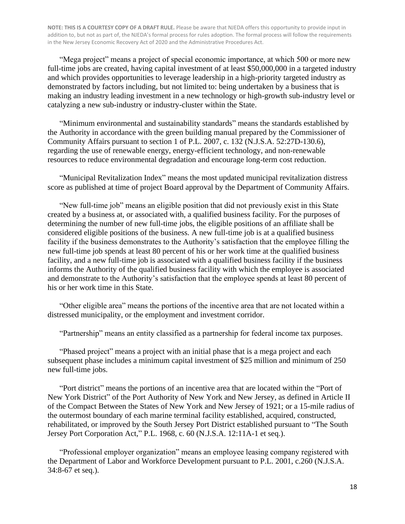"Mega project" means a project of special economic importance, at which 500 or more new full-time jobs are created, having capital investment of at least \$50,000,000 in a targeted industry and which provides opportunities to leverage leadership in a high-priority targeted industry as demonstrated by factors including, but not limited to: being undertaken by a business that is making an industry leading investment in a new technology or high-growth sub-industry level or catalyzing a new sub-industry or industry-cluster within the State.

"Minimum environmental and sustainability standards" means the standards established by the Authority in accordance with the green building manual prepared by the Commissioner of Community Affairs pursuant to section 1 of P.L. 2007, c. 132 (N.J.S.A. 52:27D-130.6), regarding the use of renewable energy, energy-efficient technology, and non-renewable resources to reduce environmental degradation and encourage long-term cost reduction.

"Municipal Revitalization Index" means the most updated municipal revitalization distress score as published at time of project Board approval by the Department of Community Affairs.

"New full-time job" means an eligible position that did not previously exist in this State created by a business at, or associated with, a qualified business facility. For the purposes of determining the number of new full-time jobs, the eligible positions of an affiliate shall be considered eligible positions of the business. A new full-time job is at a qualified business facility if the business demonstrates to the Authority's satisfaction that the employee filling the new full-time job spends at least 80 percent of his or her work time at the qualified business facility, and a new full-time job is associated with a qualified business facility if the business informs the Authority of the qualified business facility with which the employee is associated and demonstrate to the Authority's satisfaction that the employee spends at least 80 percent of his or her work time in this State.

"Other eligible area" means the portions of the incentive area that are not located within a distressed municipality, or the employment and investment corridor.

"Partnership" means an entity classified as a partnership for federal income tax purposes.

"Phased project" means a project with an initial phase that is a mega project and each subsequent phase includes a minimum capital investment of \$25 million and minimum of 250 new full-time jobs.

"Port district" means the portions of an incentive area that are located within the "Port of New York District" of the Port Authority of New York and New Jersey, as defined in Article II of the Compact Between the States of New York and New Jersey of 1921; or a 15-mile radius of the outermost boundary of each marine terminal facility established, acquired, constructed, rehabilitated, or improved by the South Jersey Port District established pursuant to "The South Jersey Port Corporation Act," P.L. 1968, c. 60 (N.J.S.A. 12:11A-1 et seq.).

"Professional employer organization" means an employee leasing company registered with the Department of Labor and Workforce Development pursuant to P.L. 2001, c.260 (N.J.S.A. 34:8-67 et seq.).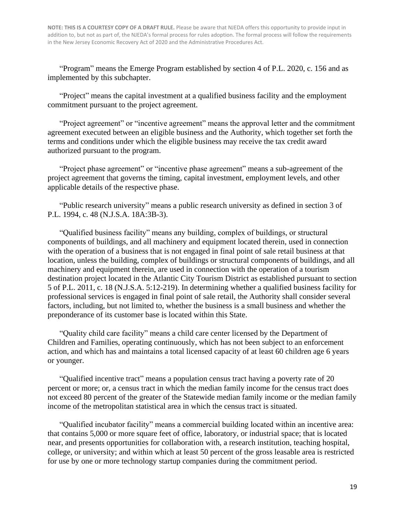"Program" means the Emerge Program established by section 4 of P.L. 2020, c. 156 and as implemented by this subchapter.

"Project" means the capital investment at a qualified business facility and the employment commitment pursuant to the project agreement.

"Project agreement" or "incentive agreement" means the approval letter and the commitment agreement executed between an eligible business and the Authority, which together set forth the terms and conditions under which the eligible business may receive the tax credit award authorized pursuant to the program.

"Project phase agreement" or "incentive phase agreement" means a sub-agreement of the project agreement that governs the timing, capital investment, employment levels, and other applicable details of the respective phase.

"Public research university" means a public research university as defined in section 3 of P.L. 1994, c. 48 (N.J.S.A. 18A:3B-3).

"Qualified business facility" means any building, complex of buildings, or structural components of buildings, and all machinery and equipment located therein, used in connection with the operation of a business that is not engaged in final point of sale retail business at that location, unless the building, complex of buildings or structural components of buildings, and all machinery and equipment therein, are used in connection with the operation of a tourism destination project located in the Atlantic City Tourism District as established pursuant to section 5 of P.L. 2011, c. 18 (N.J.S.A. 5:12-219). In determining whether a qualified business facility for professional services is engaged in final point of sale retail, the Authority shall consider several factors, including, but not limited to, whether the business is a small business and whether the preponderance of its customer base is located within this State.

"Quality child care facility" means a child care center licensed by the Department of Children and Families, operating continuously, which has not been subject to an enforcement action, and which has and maintains a total licensed capacity of at least 60 children age 6 years or younger.

"Qualified incentive tract" means a population census tract having a poverty rate of 20 percent or more; or, a census tract in which the median family income for the census tract does not exceed 80 percent of the greater of the Statewide median family income or the median family income of the metropolitan statistical area in which the census tract is situated.

"Qualified incubator facility" means a commercial building located within an incentive area: that contains 5,000 or more square feet of office, laboratory, or industrial space; that is located near, and presents opportunities for collaboration with, a research institution, teaching hospital, college, or university; and within which at least 50 percent of the gross leasable area is restricted for use by one or more technology startup companies during the commitment period.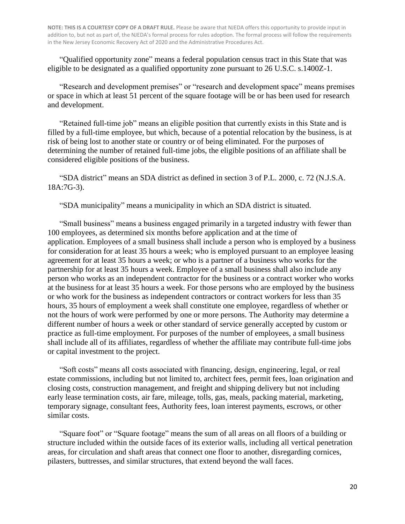"Qualified opportunity zone" means a federal population census tract in this State that was eligible to be designated as a qualified opportunity zone pursuant to 26 U.S.C. s.1400Z-1.

"Research and development premises" or "research and development space" means premises or space in which at least 51 percent of the square footage will be or has been used for research and development.

"Retained full-time job" means an eligible position that currently exists in this State and is filled by a full-time employee, but which, because of a potential relocation by the business, is at risk of being lost to another state or country or of being eliminated. For the purposes of determining the number of retained full-time jobs, the eligible positions of an affiliate shall be considered eligible positions of the business.

"SDA district" means an SDA district as defined in section 3 of P.L. 2000, c. 72 (N.J.S.A. 18A:7G-3).

"SDA municipality" means a municipality in which an SDA district is situated.

"Small business" means a business engaged primarily in a targeted industry with fewer than 100 employees, as determined six months before application and at the time of application. Employees of a small business shall include a person who is employed by a business for consideration for at least 35 hours a week; who is employed pursuant to an employee leasing agreement for at least 35 hours a week; or who is a partner of a business who works for the partnership for at least 35 hours a week. Employee of a small business shall also include any person who works as an independent contractor for the business or a contract worker who works at the business for at least 35 hours a week. For those persons who are employed by the business or who work for the business as independent contractors or contract workers for less than 35 hours, 35 hours of employment a week shall constitute one employee, regardless of whether or not the hours of work were performed by one or more persons. The Authority may determine a different number of hours a week or other standard of service generally accepted by custom or practice as full-time employment. For purposes of the number of employees, a small business shall include all of its affiliates, regardless of whether the affiliate may contribute full-time jobs or capital investment to the project.

"Soft costs" means all costs associated with financing, design, engineering, legal, or real estate commissions, including but not limited to, architect fees, permit fees, loan origination and closing costs, construction management, and freight and shipping delivery but not including early lease termination costs, air fare, mileage, tolls, gas, meals, packing material, marketing, temporary signage, consultant fees, Authority fees, loan interest payments, escrows, or other similar costs.

"Square foot" or "Square footage" means the sum of all areas on all floors of a building or structure included within the outside faces of its exterior walls, including all vertical penetration areas, for circulation and shaft areas that connect one floor to another, disregarding cornices, pilasters, buttresses, and similar structures, that extend beyond the wall faces.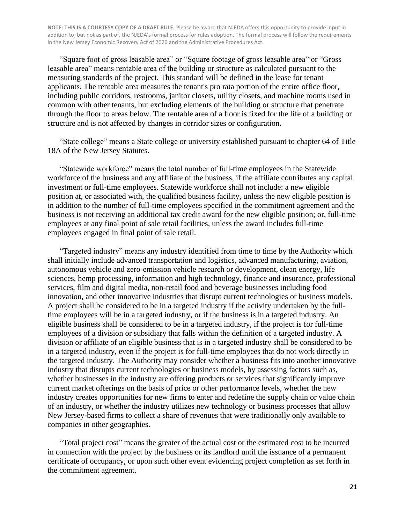"Square foot of gross leasable area" or "Square footage of gross leasable area" or "Gross leasable area" means rentable area of the building or structure as calculated pursuant to the measuring standards of the project. This standard will be defined in the lease for tenant applicants. The rentable area measures the tenant's pro rata portion of the entire office floor, including public corridors, restrooms, janitor closets, utility closets, and machine rooms used in common with other tenants, but excluding elements of the building or structure that penetrate through the floor to areas below. The rentable area of a floor is fixed for the life of a building or structure and is not affected by changes in corridor sizes or configuration.

"State college" means a State college or university established pursuant to chapter 64 of Title 18A of the New Jersey Statutes.

"Statewide workforce" means the total number of full-time employees in the Statewide workforce of the business and any affiliate of the business, if the affiliate contributes any capital investment or full-time employees. Statewide workforce shall not include: a new eligible position at, or associated with, the qualified business facility, unless the new eligible position is in addition to the number of full-time employees specified in the commitment agreement and the business is not receiving an additional tax credit award for the new eligible position; or, full-time employees at any final point of sale retail facilities, unless the award includes full-time employees engaged in final point of sale retail.

"Targeted industry" means any industry identified from time to time by the Authority which shall initially include advanced transportation and logistics, advanced manufacturing, aviation, autonomous vehicle and zero-emission vehicle research or development, clean energy, life sciences, hemp processing, information and high technology, finance and insurance, professional services, film and digital media, non-retail food and beverage businesses including food innovation, and other innovative industries that disrupt current technologies or business models. A project shall be considered to be in a targeted industry if the activity undertaken by the fulltime employees will be in a targeted industry, or if the business is in a targeted industry. An eligible business shall be considered to be in a targeted industry, if the project is for full-time employees of a division or subsidiary that falls within the definition of a targeted industry. A division or affiliate of an eligible business that is in a targeted industry shall be considered to be in a targeted industry, even if the project is for full-time employees that do not work directly in the targeted industry. The Authority may consider whether a business fits into another innovative industry that disrupts current technologies or business models, by assessing factors such as, whether businesses in the industry are offering products or services that significantly improve current market offerings on the basis of price or other performance levels, whether the new industry creates opportunities for new firms to enter and redefine the supply chain or value chain of an industry, or whether the industry utilizes new technology or business processes that allow New Jersey-based firms to collect a share of revenues that were traditionally only available to companies in other geographies.

"Total project cost" means the greater of the actual cost or the estimated cost to be incurred in connection with the project by the business or its landlord until the issuance of a permanent certificate of occupancy, or upon such other event evidencing project completion as set forth in the commitment agreement.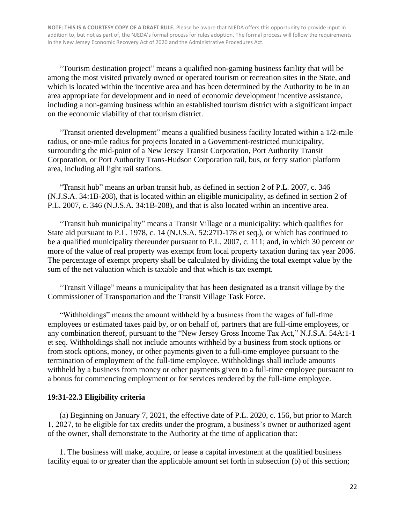"Tourism destination project" means a qualified non-gaming business facility that will be among the most visited privately owned or operated tourism or recreation sites in the State, and which is located within the incentive area and has been determined by the Authority to be in an area appropriate for development and in need of economic development incentive assistance, including a non-gaming business within an established tourism district with a significant impact on the economic viability of that tourism district.

"Transit oriented development" means a qualified business facility located within a 1/2-mile radius, or one-mile radius for projects located in a Government-restricted municipality, surrounding the mid-point of a New Jersey Transit Corporation, Port Authority Transit Corporation, or Port Authority Trans-Hudson Corporation rail, bus, or ferry station platform area, including all light rail stations.

"Transit hub" means an urban transit hub, as defined in section 2 of P.L. 2007, c. 346 (N.J.S.A. 34:1B-208), that is located within an eligible municipality, as defined in section 2 of P.L. 2007, c. 346 (N.J.S.A. 34:1B-208), and that is also located within an incentive area.

"Transit hub municipality" means a Transit Village or a municipality: which qualifies for State aid pursuant to P.L. 1978, c. 14 (N.J.S.A. 52:27D-178 et seq.), or which has continued to be a qualified municipality thereunder pursuant to P.L. 2007, c. 111; and, in which 30 percent or more of the value of real property was exempt from local property taxation during tax year 2006. The percentage of exempt property shall be calculated by dividing the total exempt value by the sum of the net valuation which is taxable and that which is tax exempt.

"Transit Village" means a municipality that has been designated as a transit village by the Commissioner of Transportation and the Transit Village Task Force.

"Withholdings" means the amount withheld by a business from the wages of full-time employees or estimated taxes paid by, or on behalf of, partners that are full-time employees, or any combination thereof, pursuant to the "New Jersey Gross Income Tax Act," N.J.S.A. 54A:1-1 et seq. Withholdings shall not include amounts withheld by a business from stock options or from stock options, money, or other payments given to a full-time employee pursuant to the termination of employment of the full-time employee. Withholdings shall include amounts withheld by a business from money or other payments given to a full-time employee pursuant to a bonus for commencing employment or for services rendered by the full-time employee.

#### **19:31-22.3 Eligibility criteria**

(a) Beginning on January 7, 2021, the effective date of P.L. 2020, c. 156, but prior to March 1, 2027, to be eligible for tax credits under the program, a business's owner or authorized agent of the owner, shall demonstrate to the Authority at the time of application that:

1. The business will make, acquire, or lease a capital investment at the qualified business facility equal to or greater than the applicable amount set forth in subsection (b) of this section;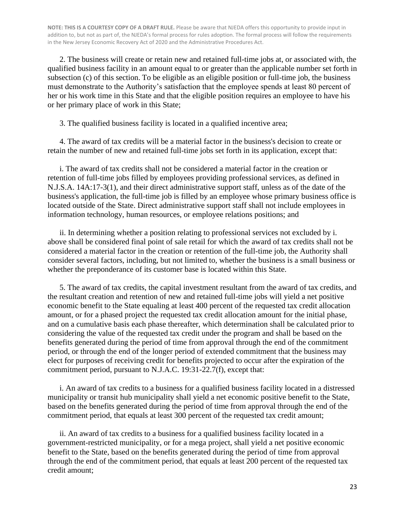2. The business will create or retain new and retained full-time jobs at, or associated with, the qualified business facility in an amount equal to or greater than the applicable number set forth in subsection (c) of this section. To be eligible as an eligible position or full-time job, the business must demonstrate to the Authority's satisfaction that the employee spends at least 80 percent of her or his work time in this State and that the eligible position requires an employee to have his or her primary place of work in this State;

3. The qualified business facility is located in a qualified incentive area;

4. The award of tax credits will be a material factor in the business's decision to create or retain the number of new and retained full-time jobs set forth in its application, except that:

i. The award of tax credits shall not be considered a material factor in the creation or retention of full-time jobs filled by employees providing professional services, as defined in N.J.S.A. 14A:17-3(1), and their direct administrative support staff, unless as of the date of the business's application, the full-time job is filled by an employee whose primary business office is located outside of the State. Direct administrative support staff shall not include employees in information technology, human resources, or employee relations positions; and

ii. In determining whether a position relating to professional services not excluded by i. above shall be considered final point of sale retail for which the award of tax credits shall not be considered a material factor in the creation or retention of the full-time job, the Authority shall consider several factors, including, but not limited to, whether the business is a small business or whether the preponderance of its customer base is located within this State.

5. The award of tax credits, the capital investment resultant from the award of tax credits, and the resultant creation and retention of new and retained full-time jobs will yield a net positive economic benefit to the State equaling at least 400 percent of the requested tax credit allocation amount, or for a phased project the requested tax credit allocation amount for the initial phase, and on a cumulative basis each phase thereafter, which determination shall be calculated prior to considering the value of the requested tax credit under the program and shall be based on the benefits generated during the period of time from approval through the end of the commitment period, or through the end of the longer period of extended commitment that the business may elect for purposes of receiving credit for benefits projected to occur after the expiration of the commitment period, pursuant to N.J.A.C. 19:31-22.7(f), except that:

i. An award of tax credits to a business for a qualified business facility located in a distressed municipality or transit hub municipality shall yield a net economic positive benefit to the State, based on the benefits generated during the period of time from approval through the end of the commitment period, that equals at least 300 percent of the requested tax credit amount;

ii. An award of tax credits to a business for a qualified business facility located in a government-restricted municipality, or for a mega project, shall yield a net positive economic benefit to the State, based on the benefits generated during the period of time from approval through the end of the commitment period, that equals at least 200 percent of the requested tax credit amount;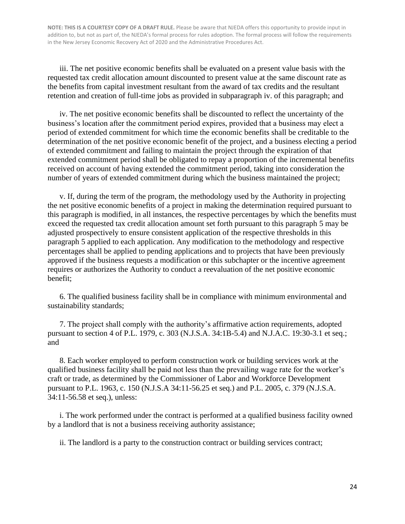iii. The net positive economic benefits shall be evaluated on a present value basis with the requested tax credit allocation amount discounted to present value at the same discount rate as the benefits from capital investment resultant from the award of tax credits and the resultant retention and creation of full-time jobs as provided in subparagraph iv. of this paragraph; and

iv. The net positive economic benefits shall be discounted to reflect the uncertainty of the business's location after the commitment period expires, provided that a business may elect a period of extended commitment for which time the economic benefits shall be creditable to the determination of the net positive economic benefit of the project, and a business electing a period of extended commitment and failing to maintain the project through the expiration of that extended commitment period shall be obligated to repay a proportion of the incremental benefits received on account of having extended the commitment period, taking into consideration the number of years of extended commitment during which the business maintained the project;

v. If, during the term of the program, the methodology used by the Authority in projecting the net positive economic benefits of a project in making the determination required pursuant to this paragraph is modified, in all instances, the respective percentages by which the benefits must exceed the requested tax credit allocation amount set forth pursuant to this paragraph 5 may be adjusted prospectively to ensure consistent application of the respective thresholds in this paragraph 5 applied to each application. Any modification to the methodology and respective percentages shall be applied to pending applications and to projects that have been previously approved if the business requests a modification or this subchapter or the incentive agreement requires or authorizes the Authority to conduct a reevaluation of the net positive economic benefit;

6. The qualified business facility shall be in compliance with minimum environmental and sustainability standards;

7. The project shall comply with the authority's affirmative action requirements, adopted pursuant to section 4 of P.L. 1979, c. 303 (N.J.S.A. 34:1B-5.4) and N.J.A.C. 19:30-3.1 et seq.; and

8. Each worker employed to perform construction work or building services work at the qualified business facility shall be paid not less than the prevailing wage rate for the worker's craft or trade, as determined by the Commissioner of Labor and Workforce Development pursuant to P.L. 1963, c. 150 (N.J.S.A 34:11-56.25 et seq.) and P.L. 2005, c. 379 (N.J.S.A. 34:11-56.58 et seq.), unless:

i. The work performed under the contract is performed at a qualified business facility owned by a landlord that is not a business receiving authority assistance;

ii. The landlord is a party to the construction contract or building services contract;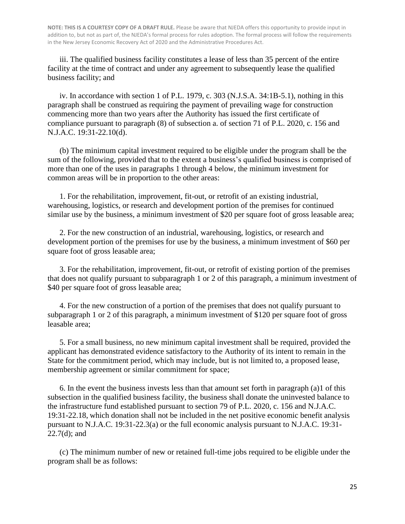iii. The qualified business facility constitutes a lease of less than 35 percent of the entire facility at the time of contract and under any agreement to subsequently lease the qualified business facility; and

iv. In accordance with section 1 of P.L. 1979, c. 303 (N.J.S.A. 34:1B-5.1), nothing in this paragraph shall be construed as requiring the payment of prevailing wage for construction commencing more than two years after the Authority has issued the first certificate of compliance pursuant to paragraph (8) of subsection a. of section 71 of P.L. 2020, c. 156 and N.J.A.C. 19:31-22.10(d).

(b) The minimum capital investment required to be eligible under the program shall be the sum of the following, provided that to the extent a business's qualified business is comprised of more than one of the uses in paragraphs 1 through 4 below, the minimum investment for common areas will be in proportion to the other areas:

1. For the rehabilitation, improvement, fit-out, or retrofit of an existing industrial, warehousing, logistics, or research and development portion of the premises for continued similar use by the business, a minimum investment of \$20 per square foot of gross leasable area;

2. For the new construction of an industrial, warehousing, logistics, or research and development portion of the premises for use by the business, a minimum investment of \$60 per square foot of gross leasable area;

3. For the rehabilitation, improvement, fit-out, or retrofit of existing portion of the premises that does not qualify pursuant to subparagraph 1 or 2 of this paragraph, a minimum investment of \$40 per square foot of gross leasable area;

4. For the new construction of a portion of the premises that does not qualify pursuant to subparagraph 1 or 2 of this paragraph, a minimum investment of \$120 per square foot of gross leasable area;

5. For a small business, no new minimum capital investment shall be required, provided the applicant has demonstrated evidence satisfactory to the Authority of its intent to remain in the State for the commitment period, which may include, but is not limited to, a proposed lease, membership agreement or similar commitment for space;

6. In the event the business invests less than that amount set forth in paragraph (a)1 of this subsection in the qualified business facility, the business shall donate the uninvested balance to the infrastructure fund established pursuant to section 79 of P.L. 2020, c. 156 and N.J.A.C. 19:31-22.18, which donation shall not be included in the net positive economic benefit analysis pursuant to N.J.A.C. 19:31-22.3(a) or the full economic analysis pursuant to N.J.A.C. 19:31- 22.7(d); and

(c) The minimum number of new or retained full-time jobs required to be eligible under the program shall be as follows: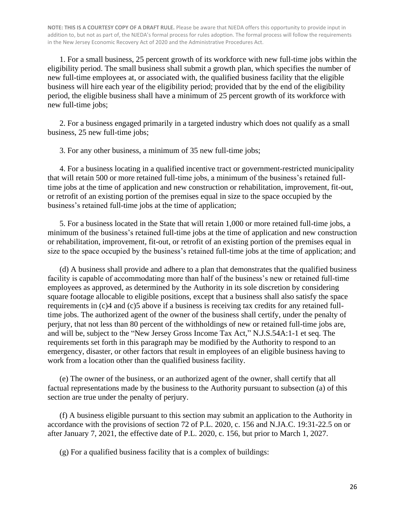1. For a small business, 25 percent growth of its workforce with new full-time jobs within the eligibility period. The small business shall submit a growth plan, which specifies the number of new full-time employees at, or associated with, the qualified business facility that the eligible business will hire each year of the eligibility period; provided that by the end of the eligibility period, the eligible business shall have a minimum of 25 percent growth of its workforce with new full-time jobs;

2. For a business engaged primarily in a targeted industry which does not qualify as a small business, 25 new full-time jobs;

3. For any other business, a minimum of 35 new full-time jobs;

4. For a business locating in a qualified incentive tract or government-restricted municipality that will retain 500 or more retained full-time jobs, a minimum of the business's retained fulltime jobs at the time of application and new construction or rehabilitation, improvement, fit-out, or retrofit of an existing portion of the premises equal in size to the space occupied by the business's retained full-time jobs at the time of application;

5. For a business located in the State that will retain 1,000 or more retained full-time jobs, a minimum of the business's retained full-time jobs at the time of application and new construction or rehabilitation, improvement, fit-out, or retrofit of an existing portion of the premises equal in size to the space occupied by the business's retained full-time jobs at the time of application; and

(d) A business shall provide and adhere to a plan that demonstrates that the qualified business facility is capable of accommodating more than half of the business's new or retained full-time employees as approved, as determined by the Authority in its sole discretion by considering square footage allocable to eligible positions, except that a business shall also satisfy the space requirements in (c)4 and (c)5 above if a business is receiving tax credits for any retained fulltime jobs. The authorized agent of the owner of the business shall certify, under the penalty of perjury, that not less than 80 percent of the withholdings of new or retained full-time jobs are, and will be, subject to the "New Jersey Gross Income Tax Act," N.J.S.54A:1-1 et seq. The requirements set forth in this paragraph may be modified by the Authority to respond to an emergency, disaster, or other factors that result in employees of an eligible business having to work from a location other than the qualified business facility.

(e) The owner of the business, or an authorized agent of the owner, shall certify that all factual representations made by the business to the Authority pursuant to subsection (a) of this section are true under the penalty of perjury.

(f) A business eligible pursuant to this section may submit an application to the Authority in accordance with the provisions of section 72 of P.L. 2020, c. 156 and N.JA.C. 19:31-22.5 on or after January 7, 2021, the effective date of P.L. 2020, c. 156, but prior to March 1, 2027.

(g) For a qualified business facility that is a complex of buildings: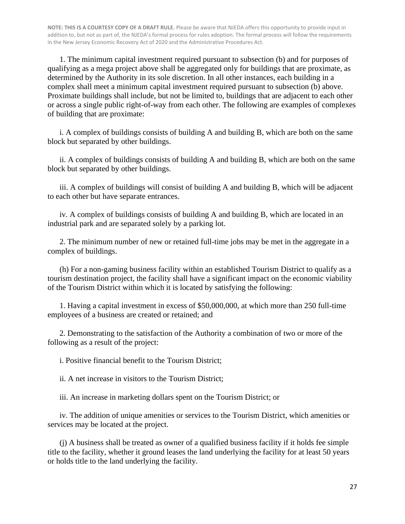1. The minimum capital investment required pursuant to subsection (b) and for purposes of qualifying as a mega project above shall be aggregated only for buildings that are proximate, as determined by the Authority in its sole discretion. In all other instances, each building in a complex shall meet a minimum capital investment required pursuant to subsection (b) above. Proximate buildings shall include, but not be limited to, buildings that are adjacent to each other or across a single public right-of-way from each other. The following are examples of complexes of building that are proximate:

i. A complex of buildings consists of building A and building B, which are both on the same block but separated by other buildings.

ii. A complex of buildings consists of building A and building B, which are both on the same block but separated by other buildings.

iii. A complex of buildings will consist of building A and building B, which will be adjacent to each other but have separate entrances.

iv. A complex of buildings consists of building A and building B, which are located in an industrial park and are separated solely by a parking lot.

2. The minimum number of new or retained full-time jobs may be met in the aggregate in a complex of buildings.

(h) For a non-gaming business facility within an established Tourism District to qualify as a tourism destination project, the facility shall have a significant impact on the economic viability of the Tourism District within which it is located by satisfying the following:

1. Having a capital investment in excess of \$50,000,000, at which more than 250 full-time employees of a business are created or retained; and

2. Demonstrating to the satisfaction of the Authority a combination of two or more of the following as a result of the project:

i. Positive financial benefit to the Tourism District;

ii. A net increase in visitors to the Tourism District;

iii. An increase in marketing dollars spent on the Tourism District; or

iv. The addition of unique amenities or services to the Tourism District, which amenities or services may be located at the project.

(j) A business shall be treated as owner of a qualified business facility if it holds fee simple title to the facility, whether it ground leases the land underlying the facility for at least 50 years or holds title to the land underlying the facility.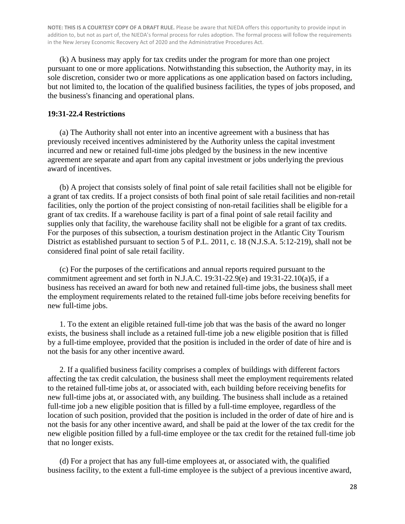(k) A business may apply for tax credits under the program for more than one project pursuant to one or more applications. Notwithstanding this subsection, the Authority may, in its sole discretion, consider two or more applications as one application based on factors including, but not limited to, the location of the qualified business facilities, the types of jobs proposed, and the business's financing and operational plans.

#### **19:31-22.4 Restrictions**

(a) The Authority shall not enter into an incentive agreement with a business that has previously received incentives administered by the Authority unless the capital investment incurred and new or retained full-time jobs pledged by the business in the new incentive agreement are separate and apart from any capital investment or jobs underlying the previous award of incentives.

(b) A project that consists solely of final point of sale retail facilities shall not be eligible for a grant of tax credits. If a project consists of both final point of sale retail facilities and non-retail facilities, only the portion of the project consisting of non-retail facilities shall be eligible for a grant of tax credits. If a warehouse facility is part of a final point of sale retail facility and supplies only that facility, the warehouse facility shall not be eligible for a grant of tax credits. For the purposes of this subsection, a tourism destination project in the Atlantic City Tourism District as established pursuant to section 5 of P.L. 2011, c. 18 (N.J.S.A. 5:12-219), shall not be considered final point of sale retail facility.

(c) For the purposes of the certifications and annual reports required pursuant to the commitment agreement and set forth in N.J.A.C. 19:31-22.9(e) and 19:31-22.10(a)5, if a business has received an award for both new and retained full-time jobs, the business shall meet the employment requirements related to the retained full-time jobs before receiving benefits for new full-time jobs.

1. To the extent an eligible retained full-time job that was the basis of the award no longer exists, the business shall include as a retained full-time job a new eligible position that is filled by a full-time employee, provided that the position is included in the order of date of hire and is not the basis for any other incentive award.

2. If a qualified business facility comprises a complex of buildings with different factors affecting the tax credit calculation, the business shall meet the employment requirements related to the retained full-time jobs at, or associated with, each building before receiving benefits for new full-time jobs at, or associated with, any building. The business shall include as a retained full-time job a new eligible position that is filled by a full-time employee, regardless of the location of such position, provided that the position is included in the order of date of hire and is not the basis for any other incentive award, and shall be paid at the lower of the tax credit for the new eligible position filled by a full-time employee or the tax credit for the retained full-time job that no longer exists.

(d) For a project that has any full-time employees at, or associated with, the qualified business facility, to the extent a full-time employee is the subject of a previous incentive award,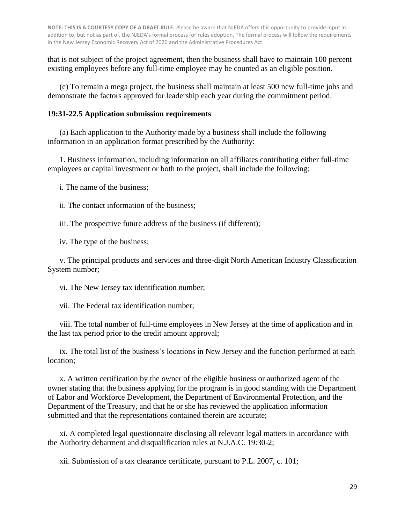that is not subject of the project agreement, then the business shall have to maintain 100 percent existing employees before any full-time employee may be counted as an eligible position.

(e) To remain a mega project, the business shall maintain at least 500 new full-time jobs and demonstrate the factors approved for leadership each year during the commitment period.

#### **19:31-22.5 Application submission requirements**

(a) Each application to the Authority made by a business shall include the following information in an application format prescribed by the Authority:

1. Business information, including information on all affiliates contributing either full-time employees or capital investment or both to the project, shall include the following:

i. The name of the business;

ii. The contact information of the business;

iii. The prospective future address of the business (if different);

iv. The type of the business;

v. The principal products and services and three-digit North American Industry Classification System number;

vi. The New Jersey tax identification number;

vii. The Federal tax identification number;

viii. The total number of full-time employees in New Jersey at the time of application and in the last tax period prior to the credit amount approval;

ix. The total list of the business's locations in New Jersey and the function performed at each location;

x. A written certification by the owner of the eligible business or authorized agent of the owner stating that the business applying for the program is in good standing with the Department of Labor and Workforce Development, the Department of Environmental Protection, and the Department of the Treasury, and that he or she has reviewed the application information submitted and that the representations contained therein are accurate;

xi. A completed legal questionnaire disclosing all relevant legal matters in accordance with the Authority debarment and disqualification rules at N.J.A.C. 19:30-2;

xii. Submission of a tax clearance certificate, pursuant to P.L. 2007, c. 101;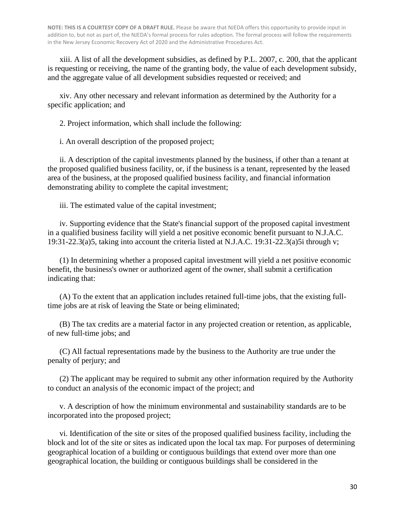xiii. A list of all the development subsidies, as defined by P.L. 2007, c. 200, that the applicant is requesting or receiving, the name of the granting body, the value of each development subsidy, and the aggregate value of all development subsidies requested or received; and

xiv. Any other necessary and relevant information as determined by the Authority for a specific application; and

2. Project information, which shall include the following:

i. An overall description of the proposed project;

ii. A description of the capital investments planned by the business, if other than a tenant at the proposed qualified business facility, or, if the business is a tenant, represented by the leased area of the business, at the proposed qualified business facility, and financial information demonstrating ability to complete the capital investment;

iii. The estimated value of the capital investment;

iv. Supporting evidence that the State's financial support of the proposed capital investment in a qualified business facility will yield a net positive economic benefit pursuant to N.J.A.C. 19:31-22.3(a)5, taking into account the criteria listed at N.J.A.C. 19:31-22.3(a)5i through v;

(1) In determining whether a proposed capital investment will yield a net positive economic benefit, the business's owner or authorized agent of the owner, shall submit a certification indicating that:

(A) To the extent that an application includes retained full-time jobs, that the existing fulltime jobs are at risk of leaving the State or being eliminated;

(B) The tax credits are a material factor in any projected creation or retention, as applicable, of new full-time jobs; and

(C) All factual representations made by the business to the Authority are true under the penalty of perjury; and

(2) The applicant may be required to submit any other information required by the Authority to conduct an analysis of the economic impact of the project; and

v. A description of how the minimum environmental and sustainability standards are to be incorporated into the proposed project;

vi. Identification of the site or sites of the proposed qualified business facility, including the block and lot of the site or sites as indicated upon the local tax map. For purposes of determining geographical location of a building or contiguous buildings that extend over more than one geographical location, the building or contiguous buildings shall be considered in the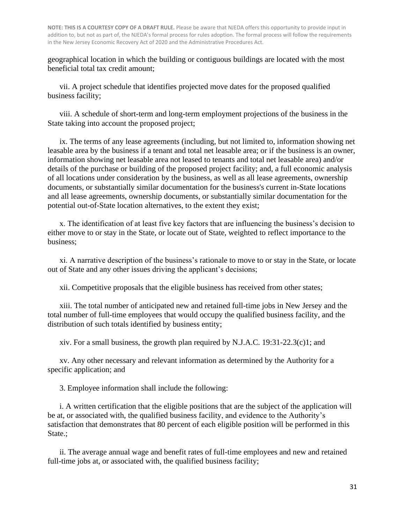geographical location in which the building or contiguous buildings are located with the most beneficial total tax credit amount;

vii. A project schedule that identifies projected move dates for the proposed qualified business facility;

viii. A schedule of short-term and long-term employment projections of the business in the State taking into account the proposed project;

ix. The terms of any lease agreements (including, but not limited to, information showing net leasable area by the business if a tenant and total net leasable area; or if the business is an owner, information showing net leasable area not leased to tenants and total net leasable area) and/or details of the purchase or building of the proposed project facility; and, a full economic analysis of all locations under consideration by the business, as well as all lease agreements, ownership documents, or substantially similar documentation for the business's current in-State locations and all lease agreements, ownership documents, or substantially similar documentation for the potential out-of-State location alternatives, to the extent they exist;

x. The identification of at least five key factors that are influencing the business's decision to either move to or stay in the State, or locate out of State, weighted to reflect importance to the business;

xi. A narrative description of the business's rationale to move to or stay in the State, or locate out of State and any other issues driving the applicant's decisions;

xii. Competitive proposals that the eligible business has received from other states;

xiii. The total number of anticipated new and retained full-time jobs in New Jersey and the total number of full-time employees that would occupy the qualified business facility, and the distribution of such totals identified by business entity;

xiv. For a small business, the growth plan required by N.J.A.C. 19:31-22.3(c)1; and

xv. Any other necessary and relevant information as determined by the Authority for a specific application; and

3. Employee information shall include the following:

i. A written certification that the eligible positions that are the subject of the application will be at, or associated with, the qualified business facility, and evidence to the Authority's satisfaction that demonstrates that 80 percent of each eligible position will be performed in this State.;

ii. The average annual wage and benefit rates of full-time employees and new and retained full-time jobs at, or associated with, the qualified business facility;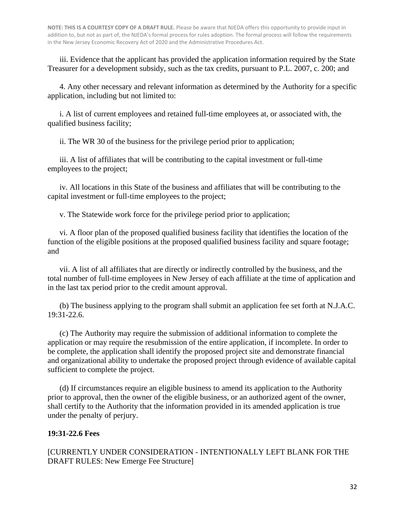iii. Evidence that the applicant has provided the application information required by the State Treasurer for a development subsidy, such as the tax credits, pursuant to P.L. 2007, c. 200; and

4. Any other necessary and relevant information as determined by the Authority for a specific application, including but not limited to:

i. A list of current employees and retained full-time employees at, or associated with, the qualified business facility;

ii. The WR 30 of the business for the privilege period prior to application;

iii. A list of affiliates that will be contributing to the capital investment or full-time employees to the project;

iv. All locations in this State of the business and affiliates that will be contributing to the capital investment or full-time employees to the project;

v. The Statewide work force for the privilege period prior to application;

vi. A floor plan of the proposed qualified business facility that identifies the location of the function of the eligible positions at the proposed qualified business facility and square footage; and

vii. A list of all affiliates that are directly or indirectly controlled by the business, and the total number of full-time employees in New Jersey of each affiliate at the time of application and in the last tax period prior to the credit amount approval.

(b) The business applying to the program shall submit an application fee set forth at N.J.A.C. 19:31-22.6.

(c) The Authority may require the submission of additional information to complete the application or may require the resubmission of the entire application, if incomplete. In order to be complete, the application shall identify the proposed project site and demonstrate financial and organizational ability to undertake the proposed project through evidence of available capital sufficient to complete the project.

(d) If circumstances require an eligible business to amend its application to the Authority prior to approval, then the owner of the eligible business, or an authorized agent of the owner, shall certify to the Authority that the information provided in its amended application is true under the penalty of perjury.

#### **19:31-22.6 Fees**

[CURRENTLY UNDER CONSIDERATION - INTENTIONALLY LEFT BLANK FOR THE DRAFT RULES: New Emerge Fee Structure]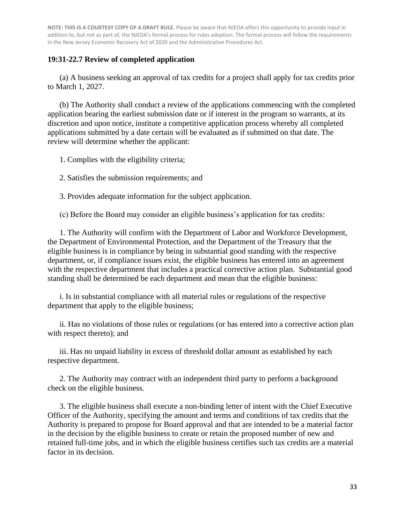#### **19:31-22.7 Review of completed application**

(a) A business seeking an approval of tax credits for a project shall apply for tax credits prior to March 1, 2027.

(b) The Authority shall conduct a review of the applications commencing with the completed application bearing the earliest submission date or if interest in the program so warrants, at its discretion and upon notice, institute a competitive application process whereby all completed applications submitted by a date certain will be evaluated as if submitted on that date. The review will determine whether the applicant:

1. Complies with the eligibility criteria;

2. Satisfies the submission requirements; and

3. Provides adequate information for the subject application.

(c) Before the Board may consider an eligible business's application for tax credits:

1. The Authority will confirm with the Department of Labor and Workforce Development, the Department of Environmental Protection, and the Department of the Treasury that the eligible business is in compliance by being in substantial good standing with the respective department, or, if compliance issues exist, the eligible business has entered into an agreement with the respective department that includes a practical corrective action plan. Substantial good standing shall be determined be each department and mean that the eligible business:

i. Is in substantial compliance with all material rules or regulations of the respective department that apply to the eligible business;

ii. Has no violations of those rules or regulations (or has entered into a corrective action plan with respect thereto); and

iii. Has no unpaid liability in excess of threshold dollar amount as established by each respective department.

2. The Authority may contract with an independent third party to perform a background check on the eligible business.

3. The eligible business shall execute a non-binding letter of intent with the Chief Executive Officer of the Authority, specifying the amount and terms and conditions of tax credits that the Authority is prepared to propose for Board approval and that are intended to be a material factor in the decision by the eligible business to create or retain the proposed number of new and retained full-time jobs, and in which the eligible business certifies such tax credits are a material factor in its decision.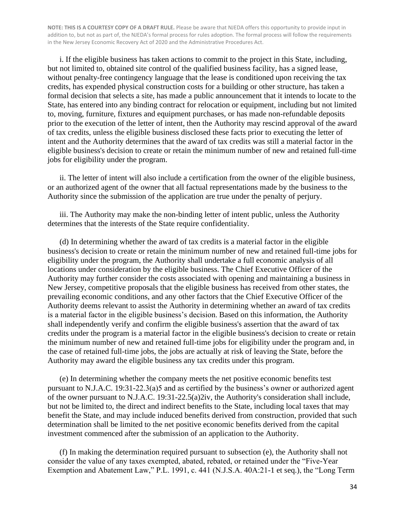i. If the eligible business has taken actions to commit to the project in this State, including, but not limited to, obtained site control of the qualified business facility, has a signed lease, without penalty-free contingency language that the lease is conditioned upon receiving the tax credits, has expended physical construction costs for a building or other structure, has taken a formal decision that selects a site, has made a public announcement that it intends to locate to the State, has entered into any binding contract for relocation or equipment, including but not limited to, moving, furniture, fixtures and equipment purchases, or has made non-refundable deposits prior to the execution of the letter of intent, then the Authority may rescind approval of the award of tax credits, unless the eligible business disclosed these facts prior to executing the letter of intent and the Authority determines that the award of tax credits was still a material factor in the eligible business's decision to create or retain the minimum number of new and retained full-time jobs for eligibility under the program.

ii. The letter of intent will also include a certification from the owner of the eligible business, or an authorized agent of the owner that all factual representations made by the business to the Authority since the submission of the application are true under the penalty of perjury.

iii. The Authority may make the non-binding letter of intent public, unless the Authority determines that the interests of the State require confidentiality.

(d) In determining whether the award of tax credits is a material factor in the eligible business's decision to create or retain the minimum number of new and retained full-time jobs for eligibility under the program, the Authority shall undertake a full economic analysis of all locations under consideration by the eligible business. The Chief Executive Officer of the Authority may further consider the costs associated with opening and maintaining a business in New Jersey, competitive proposals that the eligible business has received from other states, the prevailing economic conditions, and any other factors that the Chief Executive Officer of the Authority deems relevant to assist the Authority in determining whether an award of tax credits is a material factor in the eligible business's decision. Based on this information, the Authority shall independently verify and confirm the eligible business's assertion that the award of tax credits under the program is a material factor in the eligible business's decision to create or retain the minimum number of new and retained full-time jobs for eligibility under the program and, in the case of retained full-time jobs, the jobs are actually at risk of leaving the State, before the Authority may award the eligible business any tax credits under this program.

(e) In determining whether the company meets the net positive economic benefits test pursuant to N.J.A.C. 19:31-22.3(a)5 and as certified by the business's owner or authorized agent of the owner pursuant to N.J.A.C. 19:31-22.5(a)2iv, the Authority's consideration shall include, but not be limited to, the direct and indirect benefits to the State, including local taxes that may benefit the State, and may include induced benefits derived from construction, provided that such determination shall be limited to the net positive economic benefits derived from the capital investment commenced after the submission of an application to the Authority.

(f) In making the determination required pursuant to subsection (e), the Authority shall not consider the value of any taxes exempted, abated, rebated, or retained under the "Five-Year Exemption and Abatement Law," P.L. 1991, c. 441 (N.J.S.A. 40A:21-1 et seq.), the "Long Term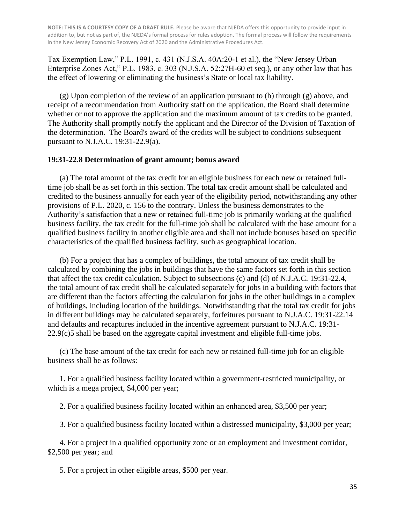Tax Exemption Law," P.L. 1991, c. 431 (N.J.S.A. 40A:20-1 et al.), the "New Jersey Urban Enterprise Zones Act," P.L. 1983, c. 303 (N.J.S.A. 52:27H-60 et seq.), or any other law that has the effect of lowering or eliminating the business's State or local tax liability.

 $(g)$  Upon completion of the review of an application pursuant to (b) through  $(g)$  above, and receipt of a recommendation from Authority staff on the application, the Board shall determine whether or not to approve the application and the maximum amount of tax credits to be granted. The Authority shall promptly notify the applicant and the Director of the Division of Taxation of the determination. The Board's award of the credits will be subject to conditions subsequent pursuant to N.J.A.C. 19:31-22.9(a).

#### **19:31-22.8 Determination of grant amount; bonus award**

(a) The total amount of the tax credit for an eligible business for each new or retained fulltime job shall be as set forth in this section. The total tax credit amount shall be calculated and credited to the business annually for each year of the eligibility period, notwithstanding any other provisions of P.L. 2020, c. 156 to the contrary. Unless the business demonstrates to the Authority's satisfaction that a new or retained full-time job is primarily working at the qualified business facility, the tax credit for the full-time job shall be calculated with the base amount for a qualified business facility in another eligible area and shall not include bonuses based on specific characteristics of the qualified business facility, such as geographical location.

(b) For a project that has a complex of buildings, the total amount of tax credit shall be calculated by combining the jobs in buildings that have the same factors set forth in this section that affect the tax credit calculation. Subject to subsections (c) and (d) of N.J.A.C. 19:31-22.4, the total amount of tax credit shall be calculated separately for jobs in a building with factors that are different than the factors affecting the calculation for jobs in the other buildings in a complex of buildings, including location of the buildings. Notwithstanding that the total tax credit for jobs in different buildings may be calculated separately, forfeitures pursuant to N.J.A.C. 19:31-22.14 and defaults and recaptures included in the incentive agreement pursuant to N.J.A.C. 19:31- 22.9(c)5 shall be based on the aggregate capital investment and eligible full-time jobs.

(c) The base amount of the tax credit for each new or retained full-time job for an eligible business shall be as follows:

1. For a qualified business facility located within a government-restricted municipality, or which is a mega project, \$4,000 per year;

2. For a qualified business facility located within an enhanced area, \$3,500 per year;

3. For a qualified business facility located within a distressed municipality, \$3,000 per year;

4. For a project in a qualified opportunity zone or an employment and investment corridor, \$2,500 per year; and

5. For a project in other eligible areas, \$500 per year.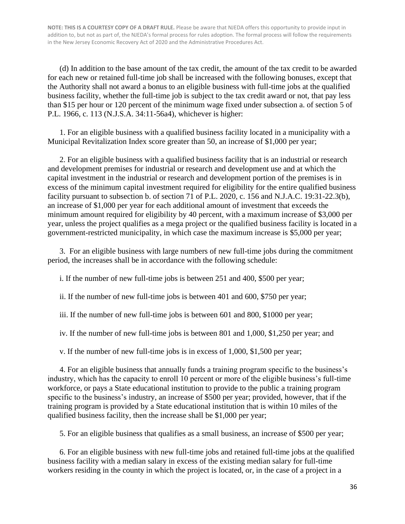(d) In addition to the base amount of the tax credit, the amount of the tax credit to be awarded for each new or retained full-time job shall be increased with the following bonuses, except that the Authority shall not award a bonus to an eligible business with full-time jobs at the qualified business facility, whether the full-time job is subject to the tax credit award or not, that pay less than \$15 per hour or 120 percent of the minimum wage fixed under subsection a. of section 5 of P.L. 1966, c. 113 (N.J.S.A. 34:11-56a4), whichever is higher:

1. For an eligible business with a qualified business facility located in a municipality with a Municipal Revitalization Index score greater than 50, an increase of \$1,000 per year;

2. For an eligible business with a qualified business facility that is an industrial or research and development premises for industrial or research and development use and at which the capital investment in the industrial or research and development portion of the premises is in excess of the minimum capital investment required for eligibility for the entire qualified business facility pursuant to subsection b. of section 71 of P.L. 2020, c. 156 and N.J.A.C. 19:31-22.3(b), an increase of \$1,000 per year for each additional amount of investment that exceeds the minimum amount required for eligibility by 40 percent, with a maximum increase of \$3,000 per year, unless the project qualifies as a mega project or the qualified business facility is located in a government-restricted municipality, in which case the maximum increase is \$5,000 per year;

3. For an eligible business with large numbers of new full-time jobs during the commitment period, the increases shall be in accordance with the following schedule:

i. If the number of new full-time jobs is between 251 and 400, \$500 per year;

ii. If the number of new full-time jobs is between 401 and 600, \$750 per year;

iii. If the number of new full-time jobs is between 601 and 800, \$1000 per year;

iv. If the number of new full-time jobs is between 801 and 1,000, \$1,250 per year; and

v. If the number of new full-time jobs is in excess of 1,000, \$1,500 per year;

4. For an eligible business that annually funds a training program specific to the business's industry, which has the capacity to enroll 10 percent or more of the eligible business's full-time workforce, or pays a State educational institution to provide to the public a training program specific to the business's industry, an increase of \$500 per year; provided, however, that if the training program is provided by a State educational institution that is within 10 miles of the qualified business facility, then the increase shall be \$1,000 per year;

5. For an eligible business that qualifies as a small business, an increase of \$500 per year;

6. For an eligible business with new full-time jobs and retained full-time jobs at the qualified business facility with a median salary in excess of the existing median salary for full-time workers residing in the county in which the project is located, or, in the case of a project in a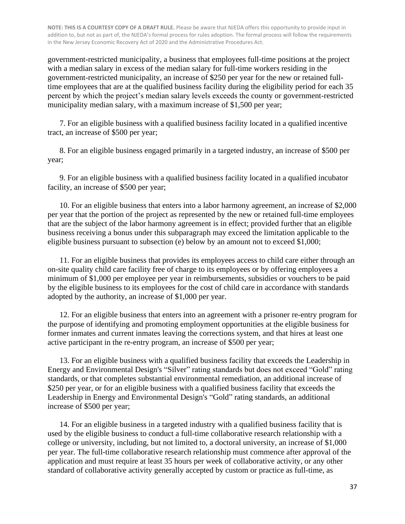government-restricted municipality, a business that employees full-time positions at the project with a median salary in excess of the median salary for full-time workers residing in the government-restricted municipality, an increase of \$250 per year for the new or retained fulltime employees that are at the qualified business facility during the eligibility period for each 35 percent by which the project's median salary levels exceeds the county or government-restricted municipality median salary, with a maximum increase of \$1,500 per year;

7. For an eligible business with a qualified business facility located in a qualified incentive tract, an increase of \$500 per year;

8. For an eligible business engaged primarily in a targeted industry, an increase of \$500 per year;

9. For an eligible business with a qualified business facility located in a qualified incubator facility, an increase of \$500 per year;

10. For an eligible business that enters into a labor harmony agreement, an increase of \$2,000 per year that the portion of the project as represented by the new or retained full-time employees that are the subject of the labor harmony agreement is in effect; provided further that an eligible business receiving a bonus under this subparagraph may exceed the limitation applicable to the eligible business pursuant to subsection (e) below by an amount not to exceed \$1,000;

11. For an eligible business that provides its employees access to child care either through an on-site quality child care facility free of charge to its employees or by offering employees a minimum of \$1,000 per employee per year in reimbursements, subsidies or vouchers to be paid by the eligible business to its employees for the cost of child care in accordance with standards adopted by the authority, an increase of \$1,000 per year.

12. For an eligible business that enters into an agreement with a prisoner re-entry program for the purpose of identifying and promoting employment opportunities at the eligible business for former inmates and current inmates leaving the corrections system, and that hires at least one active participant in the re-entry program, an increase of \$500 per year;

13. For an eligible business with a qualified business facility that exceeds the Leadership in Energy and Environmental Design's "Silver" rating standards but does not exceed "Gold" rating standards, or that completes substantial environmental remediation, an additional increase of \$250 per year, or for an eligible business with a qualified business facility that exceeds the Leadership in Energy and Environmental Design's "Gold" rating standards, an additional increase of \$500 per year;

14. For an eligible business in a targeted industry with a qualified business facility that is used by the eligible business to conduct a full-time collaborative research relationship with a college or university, including, but not limited to, a doctoral university, an increase of \$1,000 per year. The full-time collaborative research relationship must commence after approval of the application and must require at least 35 hours per week of collaborative activity, or any other standard of collaborative activity generally accepted by custom or practice as full-time, as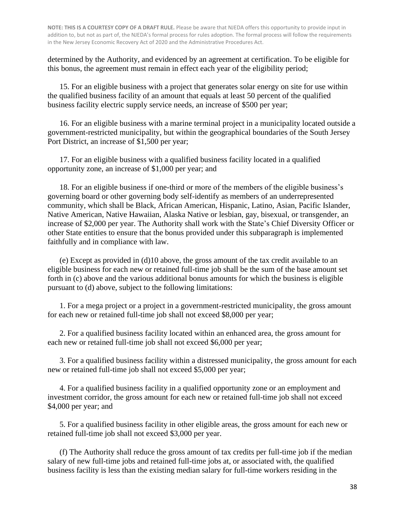determined by the Authority, and evidenced by an agreement at certification. To be eligible for this bonus, the agreement must remain in effect each year of the eligibility period;

15. For an eligible business with a project that generates solar energy on site for use within the qualified business facility of an amount that equals at least 50 percent of the qualified business facility electric supply service needs, an increase of \$500 per year;

16. For an eligible business with a marine terminal project in a municipality located outside a government-restricted municipality, but within the geographical boundaries of the South Jersey Port District, an increase of \$1,500 per year;

17. For an eligible business with a qualified business facility located in a qualified opportunity zone, an increase of \$1,000 per year; and

18. For an eligible business if one-third or more of the members of the eligible business's governing board or other governing body self-identify as members of an underrepresented community, which shall be Black, African American, Hispanic, Latino, Asian, Pacific Islander, Native American, Native Hawaiian, Alaska Native or lesbian, gay, bisexual, or transgender, an increase of \$2,000 per year. The Authority shall work with the State's Chief Diversity Officer or other State entities to ensure that the bonus provided under this subparagraph is implemented faithfully and in compliance with law.

(e) Except as provided in (d)10 above, the gross amount of the tax credit available to an eligible business for each new or retained full-time job shall be the sum of the base amount set forth in (c) above and the various additional bonus amounts for which the business is eligible pursuant to (d) above, subject to the following limitations:

1. For a mega project or a project in a government-restricted municipality, the gross amount for each new or retained full-time job shall not exceed \$8,000 per year;

2. For a qualified business facility located within an enhanced area, the gross amount for each new or retained full-time job shall not exceed \$6,000 per year;

3. For a qualified business facility within a distressed municipality, the gross amount for each new or retained full-time job shall not exceed \$5,000 per year;

4. For a qualified business facility in a qualified opportunity zone or an employment and investment corridor, the gross amount for each new or retained full-time job shall not exceed \$4,000 per year; and

5. For a qualified business facility in other eligible areas, the gross amount for each new or retained full-time job shall not exceed \$3,000 per year.

(f) The Authority shall reduce the gross amount of tax credits per full-time job if the median salary of new full-time jobs and retained full-time jobs at, or associated with, the qualified business facility is less than the existing median salary for full-time workers residing in the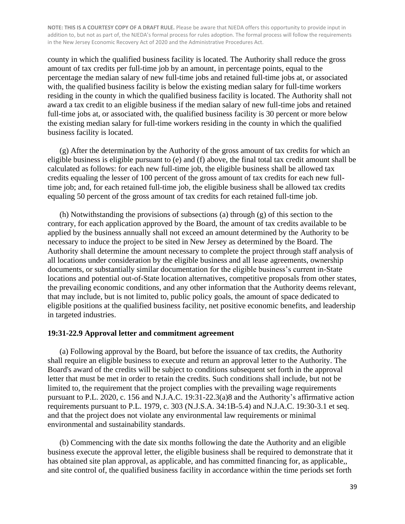county in which the qualified business facility is located. The Authority shall reduce the gross amount of tax credits per full-time job by an amount, in percentage points, equal to the percentage the median salary of new full-time jobs and retained full-time jobs at, or associated with, the qualified business facility is below the existing median salary for full-time workers residing in the county in which the qualified business facility is located. The Authority shall not award a tax credit to an eligible business if the median salary of new full-time jobs and retained full-time jobs at, or associated with, the qualified business facility is 30 percent or more below the existing median salary for full-time workers residing in the county in which the qualified business facility is located.

(g) After the determination by the Authority of the gross amount of tax credits for which an eligible business is eligible pursuant to (e) and (f) above, the final total tax credit amount shall be calculated as follows: for each new full-time job, the eligible business shall be allowed tax credits equaling the lesser of 100 percent of the gross amount of tax credits for each new fulltime job; and, for each retained full-time job, the eligible business shall be allowed tax credits equaling 50 percent of the gross amount of tax credits for each retained full-time job.

(h) Notwithstanding the provisions of subsections (a) through (g) of this section to the contrary, for each application approved by the Board, the amount of tax credits available to be applied by the business annually shall not exceed an amount determined by the Authority to be necessary to induce the project to be sited in New Jersey as determined by the Board. The Authority shall determine the amount necessary to complete the project through staff analysis of all locations under consideration by the eligible business and all lease agreements, ownership documents, or substantially similar documentation for the eligible business's current in-State locations and potential out-of-State location alternatives, competitive proposals from other states, the prevailing economic conditions, and any other information that the Authority deems relevant, that may include, but is not limited to, public policy goals, the amount of space dedicated to eligible positions at the qualified business facility, net positive economic benefits, and leadership in targeted industries.

#### **19:31-22.9 Approval letter and commitment agreement**

(a) Following approval by the Board, but before the issuance of tax credits, the Authority shall require an eligible business to execute and return an approval letter to the Authority. The Board's award of the credits will be subject to conditions subsequent set forth in the approval letter that must be met in order to retain the credits. Such conditions shall include, but not be limited to, the requirement that the project complies with the prevailing wage requirements pursuant to P.L. 2020, c. 156 and N.J.A.C. 19:31-22.3(a)8 and the Authority's affirmative action requirements pursuant to P.L. 1979, c. 303 (N.J.S.A. 34:1B-5.4) and N.J.A.C. 19:30-3.1 et seq. and that the project does not violate any environmental law requirements or minimal environmental and sustainability standards.

(b) Commencing with the date six months following the date the Authority and an eligible business execute the approval letter, the eligible business shall be required to demonstrate that it has obtained site plan approval, as applicable, and has committed financing for, as applicable,, and site control of, the qualified business facility in accordance within the time periods set forth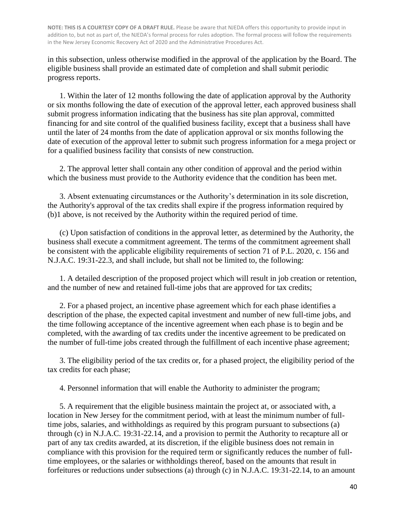in this subsection, unless otherwise modified in the approval of the application by the Board. The eligible business shall provide an estimated date of completion and shall submit periodic progress reports.

1. Within the later of 12 months following the date of application approval by the Authority or six months following the date of execution of the approval letter, each approved business shall submit progress information indicating that the business has site plan approval, committed financing for and site control of the qualified business facility, except that a business shall have until the later of 24 months from the date of application approval or six months following the date of execution of the approval letter to submit such progress information for a mega project or for a qualified business facility that consists of new construction.

2. The approval letter shall contain any other condition of approval and the period within which the business must provide to the Authority evidence that the condition has been met.

3. Absent extenuating circumstances or the Authority's determination in its sole discretion, the Authority's approval of the tax credits shall expire if the progress information required by (b)1 above, is not received by the Authority within the required period of time.

(c) Upon satisfaction of conditions in the approval letter, as determined by the Authority, the business shall execute a commitment agreement. The terms of the commitment agreement shall be consistent with the applicable eligibility requirements of section 71 of P.L. 2020, c. 156 and N.J.A.C. 19:31-22.3, and shall include, but shall not be limited to, the following:

1. A detailed description of the proposed project which will result in job creation or retention, and the number of new and retained full-time jobs that are approved for tax credits;

2. For a phased project, an incentive phase agreement which for each phase identifies a description of the phase, the expected capital investment and number of new full-time jobs, and the time following acceptance of the incentive agreement when each phase is to begin and be completed, with the awarding of tax credits under the incentive agreement to be predicated on the number of full-time jobs created through the fulfillment of each incentive phase agreement;

3. The eligibility period of the tax credits or, for a phased project, the eligibility period of the tax credits for each phase;

4. Personnel information that will enable the Authority to administer the program;

5. A requirement that the eligible business maintain the project at, or associated with, a location in New Jersey for the commitment period, with at least the minimum number of fulltime jobs, salaries, and withholdings as required by this program pursuant to subsections (a) through (c) in N.J.A.C. 19:31-22.14, and a provision to permit the Authority to recapture all or part of any tax credits awarded, at its discretion, if the eligible business does not remain in compliance with this provision for the required term or significantly reduces the number of fulltime employees, or the salaries or withholdings thereof, based on the amounts that result in forfeitures or reductions under subsections (a) through (c) in N.J.A.C. 19:31-22.14, to an amount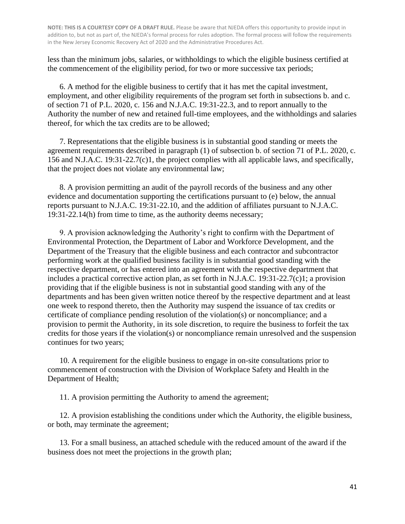less than the minimum jobs, salaries, or withholdings to which the eligible business certified at the commencement of the eligibility period, for two or more successive tax periods;

6. A method for the eligible business to certify that it has met the capital investment, employment, and other eligibility requirements of the program set forth in subsections b. and c. of section 71 of P.L. 2020, c. 156 and N.J.A.C. 19:31-22.3, and to report annually to the Authority the number of new and retained full-time employees, and the withholdings and salaries thereof, for which the tax credits are to be allowed;

7. Representations that the eligible business is in substantial good standing or meets the agreement requirements described in paragraph (1) of subsection b. of section 71 of P.L. 2020, c. 156 and N.J.A.C. 19:31-22.7(c)1, the project complies with all applicable laws, and specifically, that the project does not violate any environmental law;

8. A provision permitting an audit of the payroll records of the business and any other evidence and documentation supporting the certifications pursuant to (e) below, the annual reports pursuant to N.J.A.C. 19:31-22.10, and the addition of affiliates pursuant to N.J.A.C. 19:31-22.14(h) from time to time, as the authority deems necessary;

9. A provision acknowledging the Authority's right to confirm with the Department of Environmental Protection, the Department of Labor and Workforce Development, and the Department of the Treasury that the eligible business and each contractor and subcontractor performing work at the qualified business facility is in substantial good standing with the respective department, or has entered into an agreement with the respective department that includes a practical corrective action plan, as set forth in N.J.A.C. 19:31-22.7(c)1; a provision providing that if the eligible business is not in substantial good standing with any of the departments and has been given written notice thereof by the respective department and at least one week to respond thereto, then the Authority may suspend the issuance of tax credits or certificate of compliance pending resolution of the violation(s) or noncompliance; and a provision to permit the Authority, in its sole discretion, to require the business to forfeit the tax credits for those years if the violation(s) or noncompliance remain unresolved and the suspension continues for two years;

10. A requirement for the eligible business to engage in on-site consultations prior to commencement of construction with the Division of Workplace Safety and Health in the Department of Health;

11. A provision permitting the Authority to amend the agreement;

12. A provision establishing the conditions under which the Authority, the eligible business, or both, may terminate the agreement;

13. For a small business, an attached schedule with the reduced amount of the award if the business does not meet the projections in the growth plan;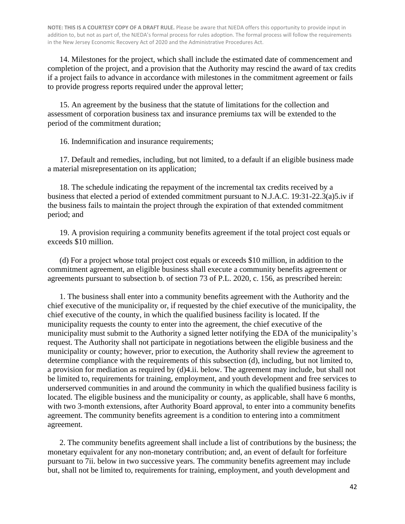14. Milestones for the project, which shall include the estimated date of commencement and completion of the project, and a provision that the Authority may rescind the award of tax credits if a project fails to advance in accordance with milestones in the commitment agreement or fails to provide progress reports required under the approval letter;

15. An agreement by the business that the statute of limitations for the collection and assessment of corporation business tax and insurance premiums tax will be extended to the period of the commitment duration;

16. Indemnification and insurance requirements;

17. Default and remedies, including, but not limited, to a default if an eligible business made a material misrepresentation on its application;

18. The schedule indicating the repayment of the incremental tax credits received by a business that elected a period of extended commitment pursuant to N.J.A.C. 19:31-22.3(a)5.iv if the business fails to maintain the project through the expiration of that extended commitment period; and

19. A provision requiring a community benefits agreement if the total project cost equals or exceeds \$10 million.

(d) For a project whose total project cost equals or exceeds \$10 million, in addition to the commitment agreement, an eligible business shall execute a community benefits agreement or agreements pursuant to subsection b. of section 73 of P.L. 2020, c. 156, as prescribed herein:

1. The business shall enter into a community benefits agreement with the Authority and the chief executive of the municipality or, if requested by the chief executive of the municipality, the chief executive of the county, in which the qualified business facility is located. If the municipality requests the county to enter into the agreement, the chief executive of the municipality must submit to the Authority a signed letter notifying the EDA of the municipality's request. The Authority shall not participate in negotiations between the eligible business and the municipality or county; however, prior to execution, the Authority shall review the agreement to determine compliance with the requirements of this subsection (d), including, but not limited to, a provision for mediation as required by (d)4.ii. below. The agreement may include, but shall not be limited to, requirements for training, employment, and youth development and free services to underserved communities in and around the community in which the qualified business facility is located. The eligible business and the municipality or county, as applicable, shall have 6 months, with two 3-month extensions, after Authority Board approval, to enter into a community benefits agreement. The community benefits agreement is a condition to entering into a commitment agreement.

2. The community benefits agreement shall include a list of contributions by the business; the monetary equivalent for any non-monetary contribution; and, an event of default for forfeiture pursuant to 7ii. below in two successive years. The community benefits agreement may include but, shall not be limited to, requirements for training, employment, and youth development and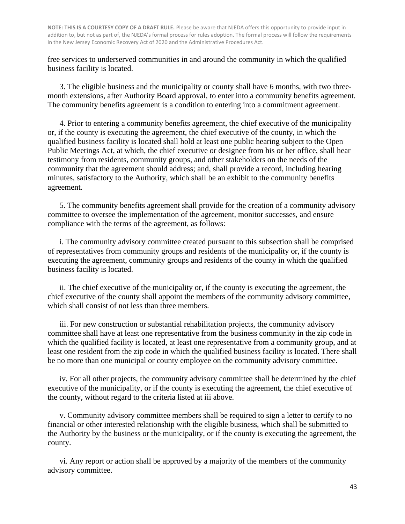free services to underserved communities in and around the community in which the qualified business facility is located.

3. The eligible business and the municipality or county shall have 6 months, with two threemonth extensions, after Authority Board approval, to enter into a community benefits agreement. The community benefits agreement is a condition to entering into a commitment agreement.

4. Prior to entering a community benefits agreement, the chief executive of the municipality or, if the county is executing the agreement, the chief executive of the county, in which the qualified business facility is located shall hold at least one public hearing subject to the Open Public Meetings Act, at which, the chief executive or designee from his or her office, shall hear testimony from residents, community groups, and other stakeholders on the needs of the community that the agreement should address; and, shall provide a record, including hearing minutes, satisfactory to the Authority, which shall be an exhibit to the community benefits agreement.

5. The community benefits agreement shall provide for the creation of a community advisory committee to oversee the implementation of the agreement, monitor successes, and ensure compliance with the terms of the agreement, as follows:

i. The community advisory committee created pursuant to this subsection shall be comprised of representatives from community groups and residents of the municipality or, if the county is executing the agreement, community groups and residents of the county in which the qualified business facility is located.

ii. The chief executive of the municipality or, if the county is executing the agreement, the chief executive of the county shall appoint the members of the community advisory committee, which shall consist of not less than three members.

iii. For new construction or substantial rehabilitation projects, the community advisory committee shall have at least one representative from the business community in the zip code in which the qualified facility is located, at least one representative from a community group, and at least one resident from the zip code in which the qualified business facility is located. There shall be no more than one municipal or county employee on the community advisory committee.

iv. For all other projects, the community advisory committee shall be determined by the chief executive of the municipality, or if the county is executing the agreement, the chief executive of the county, without regard to the criteria listed at iii above.

v. Community advisory committee members shall be required to sign a letter to certify to no financial or other interested relationship with the eligible business, which shall be submitted to the Authority by the business or the municipality, or if the county is executing the agreement, the county.

vi. Any report or action shall be approved by a majority of the members of the community advisory committee.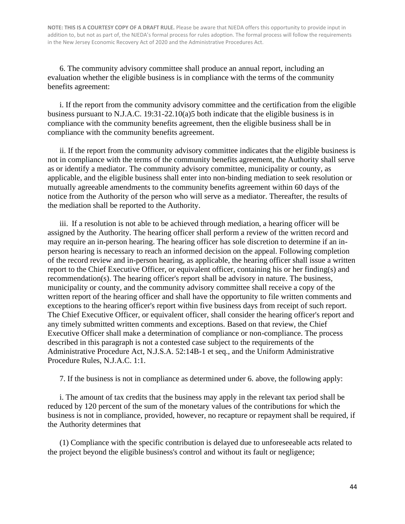6. The community advisory committee shall produce an annual report, including an evaluation whether the eligible business is in compliance with the terms of the community benefits agreement:

i. If the report from the community advisory committee and the certification from the eligible business pursuant to N.J.A.C. 19:31-22.10(a)5 both indicate that the eligible business is in compliance with the community benefits agreement, then the eligible business shall be in compliance with the community benefits agreement.

ii. If the report from the community advisory committee indicates that the eligible business is not in compliance with the terms of the community benefits agreement, the Authority shall serve as or identify a mediator. The community advisory committee, municipality or county, as applicable, and the eligible business shall enter into non-binding mediation to seek resolution or mutually agreeable amendments to the community benefits agreement within 60 days of the notice from the Authority of the person who will serve as a mediator. Thereafter, the results of the mediation shall be reported to the Authority.

iii. If a resolution is not able to be achieved through mediation, a hearing officer will be assigned by the Authority. The hearing officer shall perform a review of the written record and may require an in-person hearing. The hearing officer has sole discretion to determine if an inperson hearing is necessary to reach an informed decision on the appeal. Following completion of the record review and in-person hearing, as applicable, the hearing officer shall issue a written report to the Chief Executive Officer, or equivalent officer, containing his or her finding(s) and recommendation(s). The hearing officer's report shall be advisory in nature. The business, municipality or county, and the community advisory committee shall receive a copy of the written report of the hearing officer and shall have the opportunity to file written comments and exceptions to the hearing officer's report within five business days from receipt of such report. The Chief Executive Officer, or equivalent officer, shall consider the hearing officer's report and any timely submitted written comments and exceptions. Based on that review, the Chief Executive Officer shall make a determination of compliance or non-compliance. The process described in this paragraph is not a contested case subject to the requirements of the Administrative Procedure Act, N.J.S.A. 52:14B-1 et seq., and the Uniform Administrative Procedure Rules, N.J.A.C. 1:1.

7. If the business is not in compliance as determined under 6. above, the following apply:

i. The amount of tax credits that the business may apply in the relevant tax period shall be reduced by 120 percent of the sum of the monetary values of the contributions for which the business is not in compliance, provided, however, no recapture or repayment shall be required, if the Authority determines that

(1) Compliance with the specific contribution is delayed due to unforeseeable acts related to the project beyond the eligible business's control and without its fault or negligence;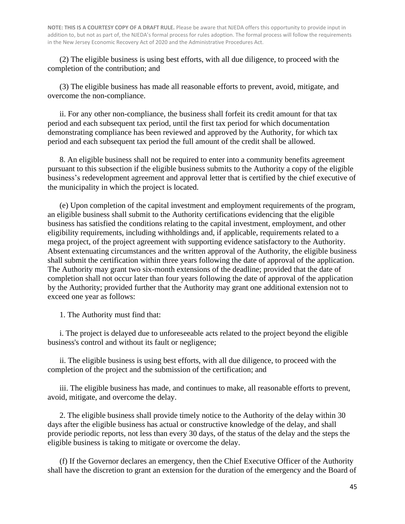(2) The eligible business is using best efforts, with all due diligence, to proceed with the completion of the contribution; and

(3) The eligible business has made all reasonable efforts to prevent, avoid, mitigate, and overcome the non-compliance.

ii. For any other non-compliance, the business shall forfeit its credit amount for that tax period and each subsequent tax period, until the first tax period for which documentation demonstrating compliance has been reviewed and approved by the Authority, for which tax period and each subsequent tax period the full amount of the credit shall be allowed.

8. An eligible business shall not be required to enter into a community benefits agreement pursuant to this subsection if the eligible business submits to the Authority a copy of the eligible business's redevelopment agreement and approval letter that is certified by the chief executive of the municipality in which the project is located.

(e) Upon completion of the capital investment and employment requirements of the program, an eligible business shall submit to the Authority certifications evidencing that the eligible business has satisfied the conditions relating to the capital investment, employment, and other eligibility requirements, including withholdings and, if applicable, requirements related to a mega project, of the project agreement with supporting evidence satisfactory to the Authority. Absent extenuating circumstances and the written approval of the Authority, the eligible business shall submit the certification within three years following the date of approval of the application. The Authority may grant two six-month extensions of the deadline; provided that the date of completion shall not occur later than four years following the date of approval of the application by the Authority; provided further that the Authority may grant one additional extension not to exceed one year as follows:

1. The Authority must find that:

i. The project is delayed due to unforeseeable acts related to the project beyond the eligible business's control and without its fault or negligence;

ii. The eligible business is using best efforts, with all due diligence, to proceed with the completion of the project and the submission of the certification; and

iii. The eligible business has made, and continues to make, all reasonable efforts to prevent, avoid, mitigate, and overcome the delay.

2. The eligible business shall provide timely notice to the Authority of the delay within 30 days after the eligible business has actual or constructive knowledge of the delay, and shall provide periodic reports, not less than every 30 days, of the status of the delay and the steps the eligible business is taking to mitigate or overcome the delay.

(f) If the Governor declares an emergency, then the Chief Executive Officer of the Authority shall have the discretion to grant an extension for the duration of the emergency and the Board of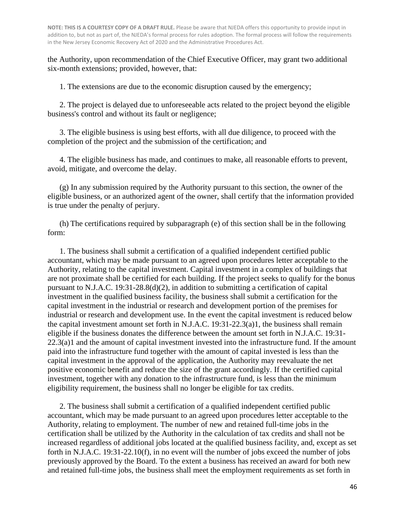the Authority, upon recommendation of the Chief Executive Officer, may grant two additional six-month extensions; provided, however, that:

1. The extensions are due to the economic disruption caused by the emergency;

2. The project is delayed due to unforeseeable acts related to the project beyond the eligible business's control and without its fault or negligence;

3. The eligible business is using best efforts, with all due diligence, to proceed with the completion of the project and the submission of the certification; and

4. The eligible business has made, and continues to make, all reasonable efforts to prevent, avoid, mitigate, and overcome the delay.

(g) In any submission required by the Authority pursuant to this section, the owner of the eligible business, or an authorized agent of the owner, shall certify that the information provided is true under the penalty of perjury.

(h) The certifications required by subparagraph (e) of this section shall be in the following form:

1. The business shall submit a certification of a qualified independent certified public accountant, which may be made pursuant to an agreed upon procedures letter acceptable to the Authority, relating to the capital investment. Capital investment in a complex of buildings that are not proximate shall be certified for each building. If the project seeks to qualify for the bonus pursuant to N.J.A.C. 19:31-28.8(d)(2), in addition to submitting a certification of capital investment in the qualified business facility, the business shall submit a certification for the capital investment in the industrial or research and development portion of the premises for industrial or research and development use. In the event the capital investment is reduced below the capital investment amount set forth in N.J.A.C. 19:31-22.3(a)1, the business shall remain eligible if the business donates the difference between the amount set forth in N.J.A.C. 19:31- 22.3(a)1 and the amount of capital investment invested into the infrastructure fund. If the amount paid into the infrastructure fund together with the amount of capital invested is less than the capital investment in the approval of the application, the Authority may reevaluate the net positive economic benefit and reduce the size of the grant accordingly. If the certified capital investment, together with any donation to the infrastructure fund, is less than the minimum eligibility requirement, the business shall no longer be eligible for tax credits.

2. The business shall submit a certification of a qualified independent certified public accountant, which may be made pursuant to an agreed upon procedures letter acceptable to the Authority, relating to employment. The number of new and retained full-time jobs in the certification shall be utilized by the Authority in the calculation of tax credits and shall not be increased regardless of additional jobs located at the qualified business facility, and, except as set forth in N.J.A.C. 19:31-22.10(f), in no event will the number of jobs exceed the number of jobs previously approved by the Board. To the extent a business has received an award for both new and retained full-time jobs, the business shall meet the employment requirements as set forth in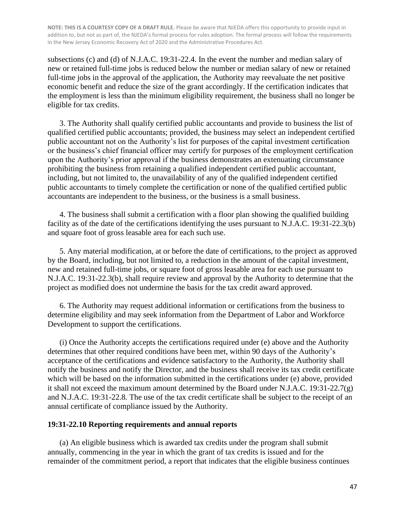subsections (c) and (d) of N.J.A.C. 19:31-22.4. In the event the number and median salary of new or retained full-time jobs is reduced below the number or median salary of new or retained full-time jobs in the approval of the application, the Authority may reevaluate the net positive economic benefit and reduce the size of the grant accordingly. If the certification indicates that the employment is less than the minimum eligibility requirement, the business shall no longer be eligible for tax credits.

3. The Authority shall qualify certified public accountants and provide to business the list of qualified certified public accountants; provided, the business may select an independent certified public accountant not on the Authority's list for purposes of the capital investment certification or the business's chief financial officer may certify for purposes of the employment certification upon the Authority's prior approval if the business demonstrates an extenuating circumstance prohibiting the business from retaining a qualified independent certified public accountant, including, but not limited to, the unavailability of any of the qualified independent certified public accountants to timely complete the certification or none of the qualified certified public accountants are independent to the business, or the business is a small business.

4. The business shall submit a certification with a floor plan showing the qualified building facility as of the date of the certifications identifying the uses pursuant to N.J.A.C. 19:31-22.3(b) and square foot of gross leasable area for each such use.

5. Any material modification, at or before the date of certifications, to the project as approved by the Board, including, but not limited to, a reduction in the amount of the capital investment, new and retained full-time jobs, or square foot of gross leasable area for each use pursuant to N.J.A.C. 19:31-22.3(b), shall require review and approval by the Authority to determine that the project as modified does not undermine the basis for the tax credit award approved.

6. The Authority may request additional information or certifications from the business to determine eligibility and may seek information from the Department of Labor and Workforce Development to support the certifications.

(i) Once the Authority accepts the certifications required under (e) above and the Authority determines that other required conditions have been met, within 90 days of the Authority's acceptance of the certifications and evidence satisfactory to the Authority, the Authority shall notify the business and notify the Director, and the business shall receive its tax credit certificate which will be based on the information submitted in the certifications under (e) above, provided it shall not exceed the maximum amount determined by the Board under N.J.A.C. 19:31-22.7(g) and N.J.A.C. 19:31-22.8. The use of the tax credit certificate shall be subject to the receipt of an annual certificate of compliance issued by the Authority.

#### **19:31-22.10 Reporting requirements and annual reports**

(a) An eligible business which is awarded tax credits under the program shall submit annually, commencing in the year in which the grant of tax credits is issued and for the remainder of the commitment period, a report that indicates that the eligible business continues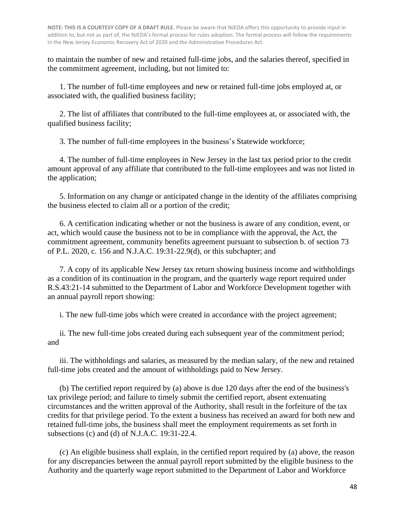to maintain the number of new and retained full-time jobs, and the salaries thereof, specified in the commitment agreement, including, but not limited to:

1. The number of full-time employees and new or retained full-time jobs employed at, or associated with, the qualified business facility;

2. The list of affiliates that contributed to the full-time employees at, or associated with, the qualified business facility;

3. The number of full-time employees in the business's Statewide workforce;

4. The number of full-time employees in New Jersey in the last tax period prior to the credit amount approval of any affiliate that contributed to the full-time employees and was not listed in the application;

5. Information on any change or anticipated change in the identity of the affiliates comprising the business elected to claim all or a portion of the credit;

6. A certification indicating whether or not the business is aware of any condition, event, or act, which would cause the business not to be in compliance with the approval, the Act, the commitment agreement, community benefits agreement pursuant to subsection b. of section 73 of P.L. 2020, c. 156 and N.J.A.C. 19:31-22.9(d), or this subchapter; and

7. A copy of its applicable New Jersey tax return showing business income and withholdings as a condition of its continuation in the program, and the quarterly wage report required under R.S.43:21-14 submitted to the Department of Labor and Workforce Development together with an annual payroll report showing:

i. The new full-time jobs which were created in accordance with the project agreement;

ii. The new full-time jobs created during each subsequent year of the commitment period; and

iii. The withholdings and salaries, as measured by the median salary, of the new and retained full-time jobs created and the amount of withholdings paid to New Jersey.

(b) The certified report required by (a) above is due 120 days after the end of the business's tax privilege period; and failure to timely submit the certified report, absent extenuating circumstances and the written approval of the Authority, shall result in the forfeiture of the tax credits for that privilege period. To the extent a business has received an award for both new and retained full-time jobs, the business shall meet the employment requirements as set forth in subsections (c) and (d) of N.J.A.C. 19:31-22.4.

(c) An eligible business shall explain, in the certified report required by (a) above, the reason for any discrepancies between the annual payroll report submitted by the eligible business to the Authority and the quarterly wage report submitted to the Department of Labor and Workforce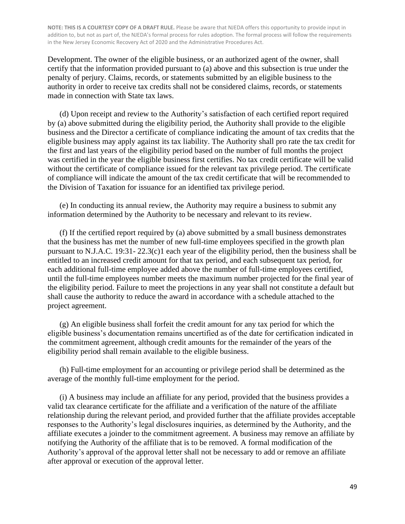Development. The owner of the eligible business, or an authorized agent of the owner, shall certify that the information provided pursuant to (a) above and this subsection is true under the penalty of perjury. Claims, records, or statements submitted by an eligible business to the authority in order to receive tax credits shall not be considered claims, records, or statements made in connection with State tax laws.

(d) Upon receipt and review to the Authority's satisfaction of each certified report required by (a) above submitted during the eligibility period, the Authority shall provide to the eligible business and the Director a certificate of compliance indicating the amount of tax credits that the eligible business may apply against its tax liability. The Authority shall pro rate the tax credit for the first and last years of the eligibility period based on the number of full months the project was certified in the year the eligible business first certifies. No tax credit certificate will be valid without the certificate of compliance issued for the relevant tax privilege period. The certificate of compliance will indicate the amount of the tax credit certificate that will be recommended to the Division of Taxation for issuance for an identified tax privilege period.

(e) In conducting its annual review, the Authority may require a business to submit any information determined by the Authority to be necessary and relevant to its review.

(f) If the certified report required by (a) above submitted by a small business demonstrates that the business has met the number of new full-time employees specified in the growth plan pursuant to N.J.A.C. 19:31- 22.3(c)1 each year of the eligibility period, then the business shall be entitled to an increased credit amount for that tax period, and each subsequent tax period, for each additional full-time employee added above the number of full-time employees certified, until the full-time employees number meets the maximum number projected for the final year of the eligibility period. Failure to meet the projections in any year shall not constitute a default but shall cause the authority to reduce the award in accordance with a schedule attached to the project agreement.

(g) An eligible business shall forfeit the credit amount for any tax period for which the eligible business's documentation remains uncertified as of the date for certification indicated in the commitment agreement, although credit amounts for the remainder of the years of the eligibility period shall remain available to the eligible business.

(h) Full-time employment for an accounting or privilege period shall be determined as the average of the monthly full-time employment for the period.

(i) A business may include an affiliate for any period, provided that the business provides a valid tax clearance certificate for the affiliate and a verification of the nature of the affiliate relationship during the relevant period, and provided further that the affiliate provides acceptable responses to the Authority's legal disclosures inquiries, as determined by the Authority, and the affiliate executes a joinder to the commitment agreement. A business may remove an affiliate by notifying the Authority of the affiliate that is to be removed. A formal modification of the Authority's approval of the approval letter shall not be necessary to add or remove an affiliate after approval or execution of the approval letter.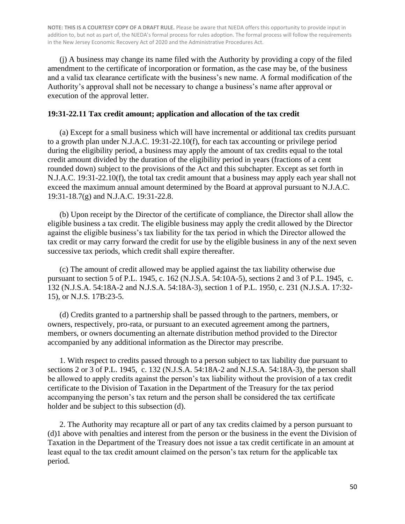(j) A business may change its name filed with the Authority by providing a copy of the filed amendment to the certificate of incorporation or formation, as the case may be, of the business and a valid tax clearance certificate with the business's new name. A formal modification of the Authority's approval shall not be necessary to change a business's name after approval or execution of the approval letter.

#### **19:31-22.11 Tax credit amount; application and allocation of the tax credit**

(a) Except for a small business which will have incremental or additional tax credits pursuant to a growth plan under N.J.A.C. 19:31-22.10(f), for each tax accounting or privilege period during the eligibility period, a business may apply the amount of tax credits equal to the total credit amount divided by the duration of the eligibility period in years (fractions of a cent rounded down) subject to the provisions of the Act and this subchapter. Except as set forth in N.J.A.C. 19:31-22.10(f), the total tax credit amount that a business may apply each year shall not exceed the maximum annual amount determined by the Board at approval pursuant to N.J.A.C. 19:31-18.7(g) and N.J.A.C. 19:31-22.8.

(b) Upon receipt by the Director of the certificate of compliance, the Director shall allow the eligible business a tax credit. The eligible business may apply the credit allowed by the Director against the eligible business's tax liability for the tax period in which the Director allowed the tax credit or may carry forward the credit for use by the eligible business in any of the next seven successive tax periods, which credit shall expire thereafter.

(c) The amount of credit allowed may be applied against the tax liability otherwise due pursuant to section 5 of P.L. 1945, c. 162 (N.J.S.A. 54:10A-5), sections 2 and 3 of P.L. 1945, c. 132 (N.J.S.A. 54:18A-2 and N.J.S.A. 54:18A-3), section 1 of P.L. 1950, c. 231 (N.J.S.A. 17:32- 15), or N.J.S. 17B:23-5.

(d) Credits granted to a partnership shall be passed through to the partners, members, or owners, respectively, pro-rata, or pursuant to an executed agreement among the partners, members, or owners documenting an alternate distribution method provided to the Director accompanied by any additional information as the Director may prescribe.

1. With respect to credits passed through to a person subject to tax liability due pursuant to sections 2 or 3 of P.L. 1945, c. 132 (N.J.S.A. 54:18A-2 and N.J.S.A. 54:18A-3), the person shall be allowed to apply credits against the person's tax liability without the provision of a tax credit certificate to the Division of Taxation in the Department of the Treasury for the tax period accompanying the person's tax return and the person shall be considered the tax certificate holder and be subject to this subsection (d).

2. The Authority may recapture all or part of any tax credits claimed by a person pursuant to (d)1 above with penalties and interest from the person or the business in the event the Division of Taxation in the Department of the Treasury does not issue a tax credit certificate in an amount at least equal to the tax credit amount claimed on the person's tax return for the applicable tax period.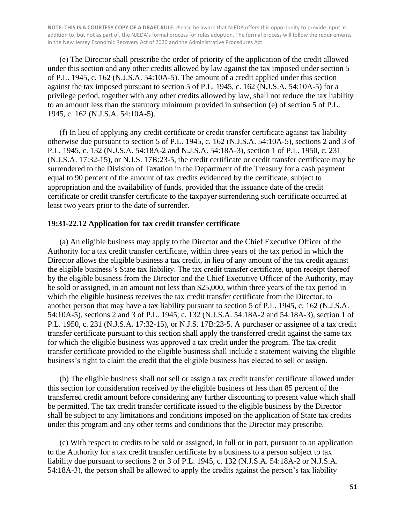(e) The Director shall prescribe the order of priority of the application of the credit allowed under this section and any other credits allowed by law against the tax imposed under section 5 of P.L. 1945, c. 162 (N.J.S.A. 54:10A-5). The amount of a credit applied under this section against the tax imposed pursuant to section 5 of P.L. 1945, c. 162 (N.J.S.A. 54:10A-5) for a privilege period, together with any other credits allowed by law, shall not reduce the tax liability to an amount less than the statutory minimum provided in subsection (e) of section 5 of P.L. 1945, c. 162 (N.J.S.A. 54:10A-5).

(f) In lieu of applying any credit certificate or credit transfer certificate against tax liability otherwise due pursuant to section 5 of P.L. 1945, c. 162 (N.J.S.A. 54:10A-5), sections 2 and 3 of P.L. 1945, c. 132 (N.J.S.A. 54:18A-2 and N.J.S.A. 54:18A-3), section 1 of P.L. 1950, c. 231 (N.J.S.A. 17:32-15), or N.J.S. 17B:23-5, the credit certificate or credit transfer certificate may be surrendered to the Division of Taxation in the Department of the Treasury for a cash payment equal to 90 percent of the amount of tax credits evidenced by the certificate, subject to appropriation and the availability of funds, provided that the issuance date of the credit certificate or credit transfer certificate to the taxpayer surrendering such certificate occurred at least two years prior to the date of surrender.

#### **19:31-22.12 Application for tax credit transfer certificate**

(a) An eligible business may apply to the Director and the Chief Executive Officer of the Authority for a tax credit transfer certificate, within three years of the tax period in which the Director allows the eligible business a tax credit, in lieu of any amount of the tax credit against the eligible business's State tax liability. The tax credit transfer certificate, upon receipt thereof by the eligible business from the Director and the Chief Executive Officer of the Authority, may be sold or assigned, in an amount not less than \$25,000, within three years of the tax period in which the eligible business receives the tax credit transfer certificate from the Director, to another person that may have a tax liability pursuant to section 5 of P.L. 1945, c. 162 (N.J.S.A. 54:10A-5), sections 2 and 3 of P.L. 1945, c. 132 (N.J.S.A. 54:18A-2 and 54:18A-3), section 1 of P.L. 1950, c. 231 (N.J.S.A. 17:32-15), or N.J.S. 17B:23-5. A purchaser or assignee of a tax credit transfer certificate pursuant to this section shall apply the transferred credit against the same tax for which the eligible business was approved a tax credit under the program. The tax credit transfer certificate provided to the eligible business shall include a statement waiving the eligible business's right to claim the credit that the eligible business has elected to sell or assign.

(b) The eligible business shall not sell or assign a tax credit transfer certificate allowed under this section for consideration received by the eligible business of less than 85 percent of the transferred credit amount before considering any further discounting to present value which shall be permitted. The tax credit transfer certificate issued to the eligible business by the Director shall be subject to any limitations and conditions imposed on the application of State tax credits under this program and any other terms and conditions that the Director may prescribe.

(c) With respect to credits to be sold or assigned, in full or in part, pursuant to an application to the Authority for a tax credit transfer certificate by a business to a person subject to tax liability due pursuant to sections 2 or 3 of P.L. 1945, c. 132 (N.J.S.A. 54:18A-2 or N.J.S.A. 54:18A-3), the person shall be allowed to apply the credits against the person's tax liability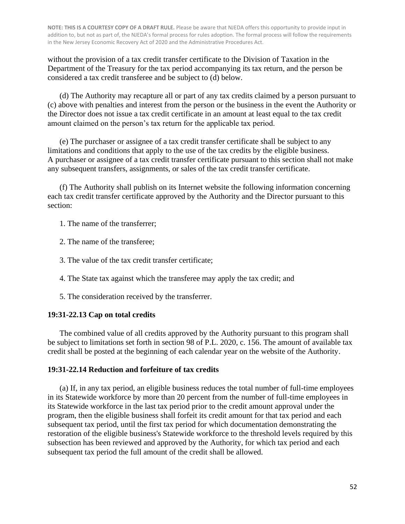without the provision of a tax credit transfer certificate to the Division of Taxation in the Department of the Treasury for the tax period accompanying its tax return, and the person be considered a tax credit transferee and be subject to (d) below.

(d) The Authority may recapture all or part of any tax credits claimed by a person pursuant to (c) above with penalties and interest from the person or the business in the event the Authority or the Director does not issue a tax credit certificate in an amount at least equal to the tax credit amount claimed on the person's tax return for the applicable tax period.

(e) The purchaser or assignee of a tax credit transfer certificate shall be subject to any limitations and conditions that apply to the use of the tax credits by the eligible business. A purchaser or assignee of a tax credit transfer certificate pursuant to this section shall not make any subsequent transfers, assignments, or sales of the tax credit transfer certificate.

(f) The Authority shall publish on its Internet website the following information concerning each tax credit transfer certificate approved by the Authority and the Director pursuant to this section:

1. The name of the transferrer;

2. The name of the transferee;

3. The value of the tax credit transfer certificate;

4. The State tax against which the transferee may apply the tax credit; and

5. The consideration received by the transferrer.

## **19:31-22.13 Cap on total credits**

The combined value of all credits approved by the Authority pursuant to this program shall be subject to limitations set forth in section 98 of P.L. 2020, c. 156. The amount of available tax credit shall be posted at the beginning of each calendar year on the website of the Authority.

#### **19:31-22.14 Reduction and forfeiture of tax credits**

(a) If, in any tax period, an eligible business reduces the total number of full-time employees in its Statewide workforce by more than 20 percent from the number of full-time employees in its Statewide workforce in the last tax period prior to the credit amount approval under the program, then the eligible business shall forfeit its credit amount for that tax period and each subsequent tax period, until the first tax period for which documentation demonstrating the restoration of the eligible business's Statewide workforce to the threshold levels required by this subsection has been reviewed and approved by the Authority, for which tax period and each subsequent tax period the full amount of the credit shall be allowed.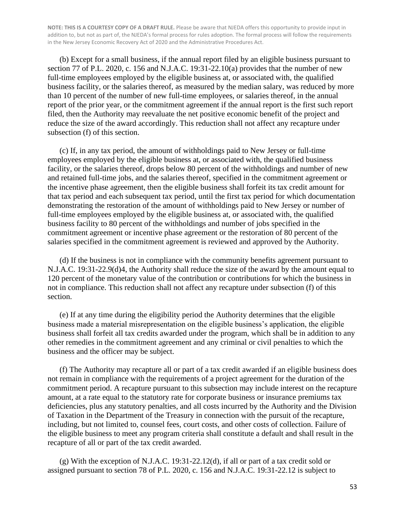(b) Except for a small business, if the annual report filed by an eligible business pursuant to section 77 of P.L. 2020, c. 156 and N.J.A.C. 19:31-22.10(a) provides that the number of new full-time employees employed by the eligible business at, or associated with, the qualified business facility, or the salaries thereof, as measured by the median salary, was reduced by more than 10 percent of the number of new full-time employees, or salaries thereof, in the annual report of the prior year, or the commitment agreement if the annual report is the first such report filed, then the Authority may reevaluate the net positive economic benefit of the project and reduce the size of the award accordingly. This reduction shall not affect any recapture under subsection (f) of this section.

(c) If, in any tax period, the amount of withholdings paid to New Jersey or full-time employees employed by the eligible business at, or associated with, the qualified business facility, or the salaries thereof, drops below 80 percent of the withholdings and number of new and retained full-time jobs, and the salaries thereof, specified in the commitment agreement or the incentive phase agreement, then the eligible business shall forfeit its tax credit amount for that tax period and each subsequent tax period, until the first tax period for which documentation demonstrating the restoration of the amount of withholdings paid to New Jersey or number of full-time employees employed by the eligible business at, or associated with, the qualified business facility to 80 percent of the withholdings and number of jobs specified in the commitment agreement or incentive phase agreement or the restoration of 80 percent of the salaries specified in the commitment agreement is reviewed and approved by the Authority.

(d) If the business is not in compliance with the community benefits agreement pursuant to N.J.A.C. 19:31-22.9(d)4, the Authority shall reduce the size of the award by the amount equal to 120 percent of the monetary value of the contribution or contributions for which the business in not in compliance. This reduction shall not affect any recapture under subsection (f) of this section.

(e) If at any time during the eligibility period the Authority determines that the eligible business made a material misrepresentation on the eligible business's application, the eligible business shall forfeit all tax credits awarded under the program, which shall be in addition to any other remedies in the commitment agreement and any criminal or civil penalties to which the business and the officer may be subject.

(f) The Authority may recapture all or part of a tax credit awarded if an eligible business does not remain in compliance with the requirements of a project agreement for the duration of the commitment period. A recapture pursuant to this subsection may include interest on the recapture amount, at a rate equal to the statutory rate for corporate business or insurance premiums tax deficiencies, plus any statutory penalties, and all costs incurred by the Authority and the Division of Taxation in the Department of the Treasury in connection with the pursuit of the recapture, including, but not limited to, counsel fees, court costs, and other costs of collection. Failure of the eligible business to meet any program criteria shall constitute a default and shall result in the recapture of all or part of the tax credit awarded.

(g) With the exception of N.J.A.C. 19:31-22.12(d), if all or part of a tax credit sold or assigned pursuant to section 78 of P.L. 2020, c. 156 and N.J.A.C. 19:31-22.12 is subject to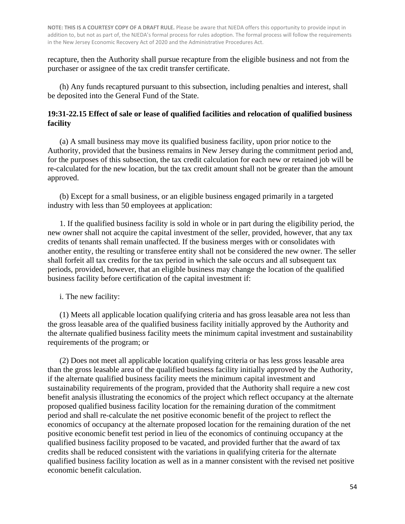recapture, then the Authority shall pursue recapture from the eligible business and not from the purchaser or assignee of the tax credit transfer certificate.

(h) Any funds recaptured pursuant to this subsection, including penalties and interest, shall be deposited into the General Fund of the State.

#### **19:31-22.15 Effect of sale or lease of qualified facilities and relocation of qualified business facility**

(a) A small business may move its qualified business facility, upon prior notice to the Authority, provided that the business remains in New Jersey during the commitment period and, for the purposes of this subsection, the tax credit calculation for each new or retained job will be re-calculated for the new location, but the tax credit amount shall not be greater than the amount approved.

(b) Except for a small business, or an eligible business engaged primarily in a targeted industry with less than 50 employees at application:

1. If the qualified business facility is sold in whole or in part during the eligibility period, the new owner shall not acquire the capital investment of the seller, provided, however, that any tax credits of tenants shall remain unaffected. If the business merges with or consolidates with another entity, the resulting or transferee entity shall not be considered the new owner. The seller shall forfeit all tax credits for the tax period in which the sale occurs and all subsequent tax periods, provided, however, that an eligible business may change the location of the qualified business facility before certification of the capital investment if:

i. The new facility:

(1) Meets all applicable location qualifying criteria and has gross leasable area not less than the gross leasable area of the qualified business facility initially approved by the Authority and the alternate qualified business facility meets the minimum capital investment and sustainability requirements of the program; or

(2) Does not meet all applicable location qualifying criteria or has less gross leasable area than the gross leasable area of the qualified business facility initially approved by the Authority, if the alternate qualified business facility meets the minimum capital investment and sustainability requirements of the program, provided that the Authority shall require a new cost benefit analysis illustrating the economics of the project which reflect occupancy at the alternate proposed qualified business facility location for the remaining duration of the commitment period and shall re-calculate the net positive economic benefit of the project to reflect the economics of occupancy at the alternate proposed location for the remaining duration of the net positive economic benefit test period in lieu of the economics of continuing occupancy at the qualified business facility proposed to be vacated, and provided further that the award of tax credits shall be reduced consistent with the variations in qualifying criteria for the alternate qualified business facility location as well as in a manner consistent with the revised net positive economic benefit calculation.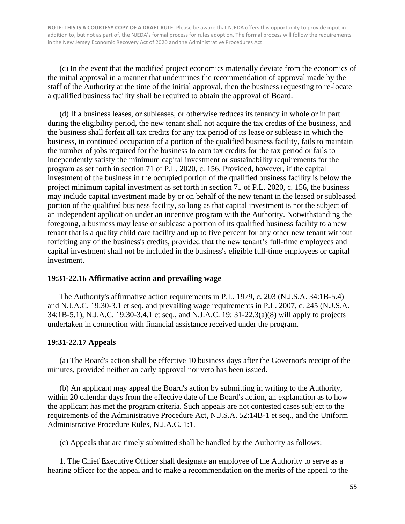(c) In the event that the modified project economics materially deviate from the economics of the initial approval in a manner that undermines the recommendation of approval made by the staff of the Authority at the time of the initial approval, then the business requesting to re-locate a qualified business facility shall be required to obtain the approval of Board.

(d) If a business leases, or subleases, or otherwise reduces its tenancy in whole or in part during the eligibility period, the new tenant shall not acquire the tax credits of the business, and the business shall forfeit all tax credits for any tax period of its lease or sublease in which the business, in continued occupation of a portion of the qualified business facility, fails to maintain the number of jobs required for the business to earn tax credits for the tax period or fails to independently satisfy the minimum capital investment or sustainability requirements for the program as set forth in section 71 of P.L. 2020, c. 156. Provided, however, if the capital investment of the business in the occupied portion of the qualified business facility is below the project minimum capital investment as set forth in section 71 of P.L. 2020, c. 156, the business may include capital investment made by or on behalf of the new tenant in the leased or subleased portion of the qualified business facility, so long as that capital investment is not the subject of an independent application under an incentive program with the Authority. Notwithstanding the foregoing, a business may lease or sublease a portion of its qualified business facility to a new tenant that is a quality child care facility and up to five percent for any other new tenant without forfeiting any of the business's credits, provided that the new tenant's full-time employees and capital investment shall not be included in the business's eligible full-time employees or capital investment.

#### **19:31-22.16 Affirmative action and prevailing wage**

The Authority's affirmative action requirements in P.L. 1979, c. 203 (N.J.S.A. 34:1B-5.4) and N.J.A.C. 19:30-3.1 et seq. and prevailing wage requirements in P.L. 2007, c. 245 (N.J.S.A. 34:1B-5.1), N.J.A.C. 19:30-3.4.1 et seq., and N.J.A.C. 19: 31-22.3(a)(8) will apply to projects undertaken in connection with financial assistance received under the program.

#### **19:31-22.17 Appeals**

(a) The Board's action shall be effective 10 business days after the Governor's receipt of the minutes, provided neither an early approval nor veto has been issued.

(b) An applicant may appeal the Board's action by submitting in writing to the Authority, within 20 calendar days from the effective date of the Board's action, an explanation as to how the applicant has met the program criteria. Such appeals are not contested cases subject to the requirements of the Administrative Procedure Act, N.J.S.A. 52:14B-1 et seq., and the Uniform Administrative Procedure Rules, N.J.A.C. 1:1.

(c) Appeals that are timely submitted shall be handled by the Authority as follows:

1. The Chief Executive Officer shall designate an employee of the Authority to serve as a hearing officer for the appeal and to make a recommendation on the merits of the appeal to the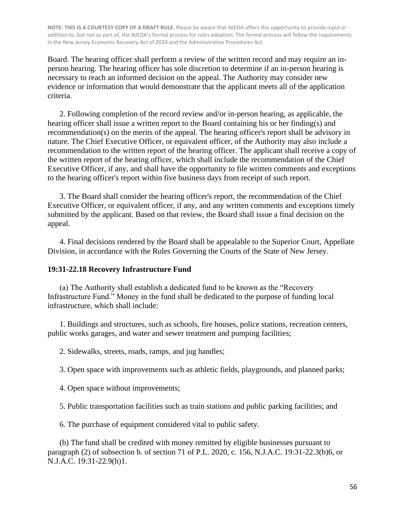Board. The hearing officer shall perform a review of the written record and may require an inperson hearing. The hearing officer has sole discretion to determine if an in-person hearing is necessary to reach an informed decision on the appeal. The Authority may consider new evidence or information that would demonstrate that the applicant meets all of the application criteria.

2. Following completion of the record review and/or in-person hearing, as applicable, the hearing officer shall issue a written report to the Board containing his or her finding(s) and recommendation(s) on the merits of the appeal. The hearing officer's report shall be advisory in nature. The Chief Executive Officer, or equivalent officer, of the Authority may also include a recommendation to the written report of the hearing officer. The applicant shall receive a copy of the written report of the hearing officer, which shall include the recommendation of the Chief Executive Officer, if any, and shall have the opportunity to file written comments and exceptions to the hearing officer's report within five business days from receipt of such report.

3. The Board shall consider the hearing officer's report, the recommendation of the Chief Executive Officer, or equivalent officer, if any, and any written comments and exceptions timely submitted by the applicant. Based on that review, the Board shall issue a final decision on the appeal.

4. Final decisions rendered by the Board shall be appealable to the Superior Court, Appellate Division, in accordance with the Rules Governing the Courts of the State of New Jersey.

#### **19:31-22.18 Recovery Infrastructure Fund**

(a) The Authority shall establish a dedicated fund to be known as the "Recovery Infrastructure Fund." Money in the fund shall be dedicated to the purpose of funding local infrastructure, which shall include:

1. Buildings and structures, such as schools, fire houses, police stations, recreation centers, public works garages, and water and sewer treatment and pumping facilities;

2. Sidewalks, streets, roads, ramps, and jug handles;

3. Open space with improvements such as athletic fields, playgrounds, and planned parks;

4. Open space without improvements;

5. Public transportation facilities such as train stations and public parking facilities; and

6. The purchase of equipment considered vital to public safety.

(b) The fund shall be credited with money remitted by eligible businesses pursuant to paragraph (2) of subsection b. of section 71 of P.L. 2020, c. 156, N.J.A.C. 19:31-22.3(b)6, or N.J.A.C. 19:31-22.9(h)1.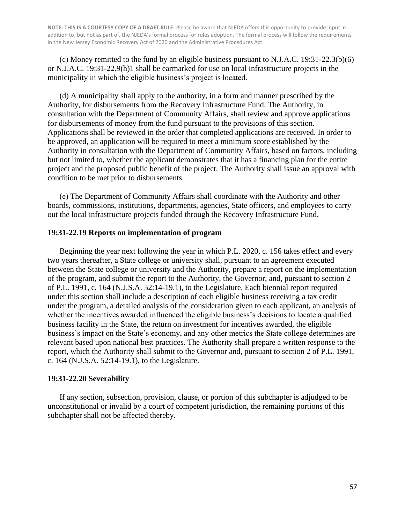(c) Money remitted to the fund by an eligible business pursuant to N.J.A.C. 19:31-22.3(b)(6) or N.J.A.C. 19:31-22.9(h)1 shall be earmarked for use on local infrastructure projects in the municipality in which the eligible business's project is located.

(d) A municipality shall apply to the authority, in a form and manner prescribed by the Authority, for disbursements from the Recovery Infrastructure Fund. The Authority, in consultation with the Department of Community Affairs, shall review and approve applications for disbursements of money from the fund pursuant to the provisions of this section. Applications shall be reviewed in the order that completed applications are received. In order to be approved, an application will be required to meet a minimum score established by the Authority in consultation with the Department of Community Affairs, based on factors, including but not limited to, whether the applicant demonstrates that it has a financing plan for the entire project and the proposed public benefit of the project. The Authority shall issue an approval with condition to be met prior to disbursements.

(e) The Department of Community Affairs shall coordinate with the Authority and other boards, commissions, institutions, departments, agencies, State officers, and employees to carry out the local infrastructure projects funded through the Recovery Infrastructure Fund.

#### **19:31-22.19 Reports on implementation of program**

Beginning the year next following the year in which P.L. 2020, c. 156 takes effect and every two years thereafter, a State college or university shall, pursuant to an agreement executed between the State college or university and the Authority, prepare a report on the implementation of the program, and submit the report to the Authority, the Governor, and, pursuant to section 2 of P.L. 1991, c. 164 (N.J.S.A. 52:14-19.1), to the Legislature. Each biennial report required under this section shall include a description of each eligible business receiving a tax credit under the program, a detailed analysis of the consideration given to each applicant, an analysis of whether the incentives awarded influenced the eligible business's decisions to locate a qualified business facility in the State, the return on investment for incentives awarded, the eligible business's impact on the State's economy, and any other metrics the State college determines are relevant based upon national best practices. The Authority shall prepare a written response to the report, which the Authority shall submit to the Governor and, pursuant to section 2 of P.L. 1991, c. 164 (N.J.S.A. 52:14-19.1), to the Legislature.

#### **19:31-22.20 Severability**

If any section, subsection, provision, clause, or portion of this subchapter is adjudged to be unconstitutional or invalid by a court of competent jurisdiction, the remaining portions of this subchapter shall not be affected thereby.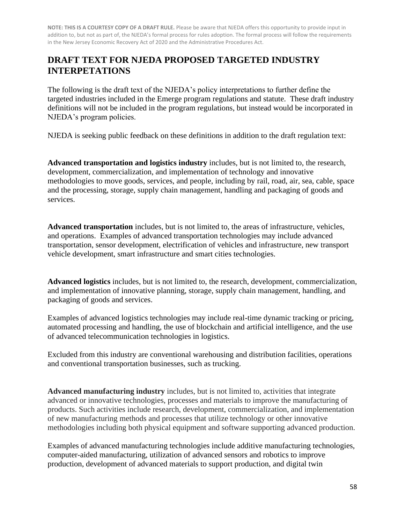## **DRAFT TEXT FOR NJEDA PROPOSED TARGETED INDUSTRY INTERPETATIONS**

The following is the draft text of the NJEDA's policy interpretations to further define the targeted industries included in the Emerge program regulations and statute. These draft industry definitions will not be included in the program regulations, but instead would be incorporated in NJEDA's program policies.

NJEDA is seeking public feedback on these definitions in addition to the draft regulation text:

**Advanced transportation and logistics industry** includes, but is not limited to, the research, development, commercialization, and implementation of technology and innovative methodologies to move goods, services, and people, including by rail, road, air, sea, cable, space and the processing, storage, supply chain management, handling and packaging of goods and services.

**Advanced transportation** includes, but is not limited to, the areas of infrastructure, vehicles, and operations. Examples of advanced transportation technologies may include advanced transportation, sensor development, electrification of vehicles and infrastructure, new transport vehicle development, smart infrastructure and smart cities technologies.

**Advanced logistics** includes, but is not limited to, the research, development, commercialization, and implementation of innovative planning, storage, supply chain management, handling, and packaging of goods and services.

Examples of advanced logistics technologies may include real-time dynamic tracking or pricing, automated processing and handling, the use of blockchain and artificial intelligence, and the use of advanced telecommunication technologies in logistics.

Excluded from this industry are conventional warehousing and distribution facilities, operations and conventional transportation businesses, such as trucking.

**Advanced manufacturing industry** includes, but is not limited to, activities that integrate advanced or innovative technologies, processes and materials to improve the manufacturing of products. Such activities include research, development, commercialization, and implementation of new manufacturing methods and processes that utilize technology or other innovative methodologies including both physical equipment and software supporting advanced production.

Examples of advanced manufacturing technologies include additive manufacturing technologies, computer-aided manufacturing, utilization of advanced sensors and robotics to improve production, development of advanced materials to support production, and digital twin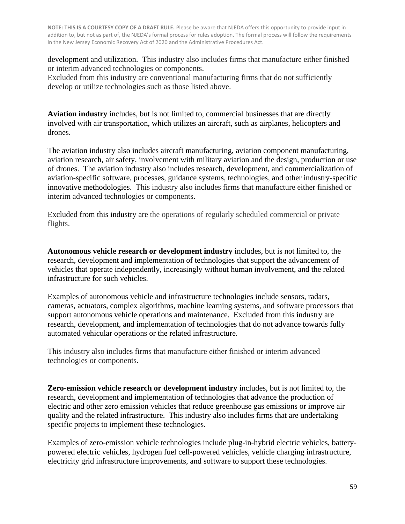development and utilization. This industry also includes firms that manufacture either finished or interim advanced technologies or components.

Excluded from this industry are conventional manufacturing firms that do not sufficiently develop or utilize technologies such as those listed above.

**Aviation industry** includes, but is not limited to, commercial businesses that are directly involved with air transportation, which utilizes an aircraft, such as airplanes, helicopters and drones.

The aviation industry also includes aircraft manufacturing, aviation component manufacturing, aviation research, air safety, involvement with military aviation and the design, production or use of drones. The aviation industry also includes research, development, and commercialization of aviation-specific software, processes, guidance systems, technologies, and other industry-specific innovative methodologies. This industry also includes firms that manufacture either finished or interim advanced technologies or components.

Excluded from this industry are the operations of regularly scheduled commercial or private flights.

**Autonomous vehicle research or development industry** includes, but is not limited to, the research, development and implementation of technologies that support the advancement of vehicles that operate independently, increasingly without human involvement, and the related infrastructure for such vehicles.

Examples of autonomous vehicle and infrastructure technologies include sensors, radars, cameras, actuators, complex algorithms, machine learning systems, and software processors that support autonomous vehicle operations and maintenance. Excluded from this industry are research, development, and implementation of technologies that do not advance towards fully automated vehicular operations or the related infrastructure.

This industry also includes firms that manufacture either finished or interim advanced technologies or components.

**Zero-emission vehicle research or development industry** includes, but is not limited to, the research, development and implementation of technologies that advance the production of electric and other zero emission vehicles that reduce greenhouse gas emissions or improve air quality and the related infrastructure. This industry also includes firms that are undertaking specific projects to implement these technologies.

Examples of zero-emission vehicle technologies include plug-in-hybrid electric vehicles, batterypowered electric vehicles, hydrogen fuel cell-powered vehicles, vehicle charging infrastructure, electricity grid infrastructure improvements, and software to support these technologies.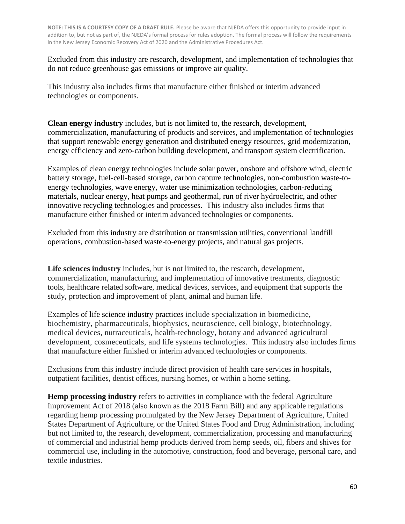Excluded from this industry are research, development, and implementation of technologies that do not reduce greenhouse gas emissions or improve air quality.

This industry also includes firms that manufacture either finished or interim advanced technologies or components.

**Clean energy industry** includes, but is not limited to, the research, development, commercialization, manufacturing of products and services, and implementation of technologies that support renewable energy generation and distributed energy resources, grid modernization, energy efficiency and zero-carbon building development, and transport system electrification.

Examples of clean energy technologies include solar power, onshore and offshore wind, electric battery storage, fuel-cell-based storage, carbon capture technologies, non-combustion waste-toenergy technologies, wave energy, water use minimization technologies, carbon-reducing materials, nuclear energy, heat pumps and geothermal, run of river hydroelectric, and other innovative recycling technologies and processes. This industry also includes firms that manufacture either finished or interim advanced technologies or components.

Excluded from this industry are distribution or transmission utilities, conventional landfill operations, combustion-based waste-to-energy projects, and natural gas projects.

**Life sciences industry** includes, but is not limited to, the research, development, commercialization, manufacturing, and implementation of innovative treatments, diagnostic tools, healthcare related software, medical devices, services, and equipment that supports the study, protection and improvement of plant, animal and human life.

Examples of life science industry practices include specialization in biomedicine, biochemistry, pharmaceuticals, biophysics, neuroscience, cell biology, biotechnology, medical devices, nutraceuticals, health-technology, botany and advanced agricultural development, cosmeceuticals, and life systems technologies. This industry also includes firms that manufacture either finished or interim advanced technologies or components.

Exclusions from this industry include direct provision of health care services in hospitals, outpatient facilities, dentist offices, nursing homes, or within a home setting.

**Hemp processing industry** refers to activities in compliance with the federal Agriculture Improvement Act of 2018 (also known as the 2018 Farm Bill) and any applicable regulations regarding hemp processing promulgated by the New Jersey Department of Agriculture, United States Department of Agriculture, or the United States Food and Drug Administration, including but not limited to, the research, development, commercialization, processing and manufacturing of commercial and industrial hemp products derived from hemp seeds, oil, fibers and shives for commercial use, including in the automotive, construction, food and beverage, personal care, and textile industries.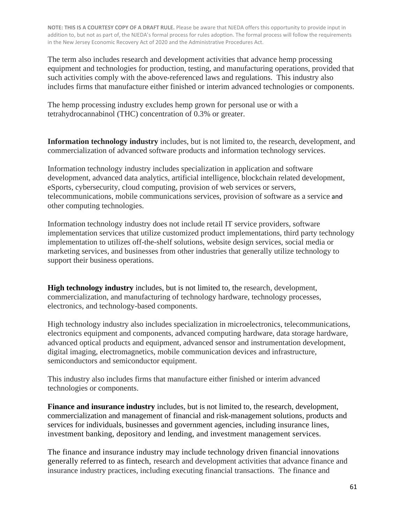The term also includes research and development activities that advance hemp processing equipment and technologies for production, testing, and manufacturing operations, provided that such activities comply with the above-referenced laws and regulations. This industry also includes firms that manufacture either finished or interim advanced technologies or components.

The hemp processing industry excludes hemp grown for personal use or with a tetrahydrocannabinol (THC) concentration of 0.3% or greater.

**Information technology industry** includes, but is not limited to, the research, development, and commercialization of advanced software products and information technology services.

Information technology industry includes specialization in application and software development, advanced data analytics, artificial intelligence, blockchain related development, eSports, cybersecurity, cloud computing, provision of web services or servers, telecommunications, mobile communications services, provision of software as a service and other computing technologies.

Information technology industry does not include retail IT service providers, software implementation services that utilize customized product implementations, third party technology implementation to utilizes off-the-shelf solutions, website design services, social media or marketing services, and businesses from other industries that generally utilize technology to support their business operations.

**High technology industry** includes, but is not limited to, the research, development, commercialization, and manufacturing of technology hardware, technology processes, electronics, and technology-based components.

High technology industry also includes specialization in microelectronics, telecommunications, electronics equipment and components, advanced computing hardware, data storage hardware, advanced optical products and equipment, advanced sensor and instrumentation development, digital imaging, electromagnetics, mobile communication devices and infrastructure, semiconductors and semiconductor equipment.

This industry also includes firms that manufacture either finished or interim advanced technologies or components.

**Finance and insurance industry** includes, but is not limited to, the research, development, commercialization and management of financial and risk-management solutions, products and services for individuals, businesses and government agencies, including insurance lines, investment banking, depository and lending, and investment management services.

The finance and insurance industry may include technology driven financial innovations generally referred to as fintech, research and development activities that advance finance and insurance industry practices, including executing financial transactions. The finance and